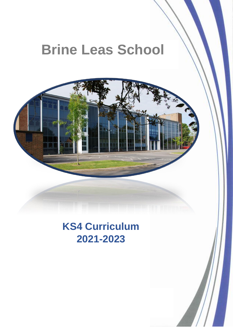# **Brine Leas School**



## **KS4 Curriculum 2021-2023**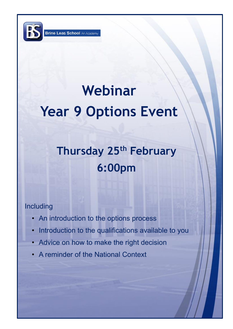# **Webinar Year 9 Options Event**

# **Thursday 25th February 6:00pm**

### Including

- An introduction to the options process
- Introduction to the qualifications available to you

2

- Advice on how to make the right decision
- A reminder of the National Context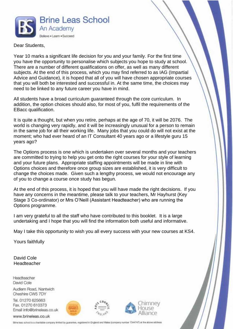

#### Dear Students,

Year 10 marks a significant life decision for you and your family. For the first time you have the opportunity to personalise which subjects you hope to study at school. There are a number of different qualifications on offer, as well as many different subjects. At the end of this process, which you may find referred to as IAG (Impartial Advice and Guidance), it is hoped that all of you will have chosen appropriate courses that you will both be interested and successful in. At the same time, the choices may need to be linked to any future career you have in mind.

All students have a broad curriculum guaranteed through the core curriculum. In addition, the option choices should also, for most of you, fulfil the requirements of the EBacc qualification.

It is quite a thought, but when you retire, perhaps at the age of 70, it will be 2076. The world is changing very rapidly, and it will be increasingly unusual for a person to remain in the same job for all their working life. Many jobs that you could do will not exist at the moment; who had ever heard of an IT Consultant 40 years ago or a lifestyle guru 15 years ago?

The Options process is one which is undertaken over several months and your teachers are committed to trying to help you get onto the right courses for your style of learning and your future plans. Appropriate staffing appointments will be made in line with Options choices and therefore once group sizes are established, it is very difficult to change the choices made. Given such a lengthy process, we would not encourage any of you to change a course once study has begun.

At the end of this process, it is hoped that you will have made the right decisions. If you have any concerns in the meantime, please talk to your teachers, Mr Hayhurst (Key Stage 3 Co-ordinator) or Mrs O'Neill (Assistant Headteacher) who are running the Options programme.

I am very grateful to all the staff who have contributed to this booklet. It is a large undertaking and I hope that you will find the information both useful and informative.

May I take this opportunity to wish you all every success with your new courses at KS4.

Yours faithfully

David Cole Headteacher

Headteacher David Cole

Audlem Road, Nantwich Cheshire CW5 7DY

Tel. 01270 625663 Fax. 01270 610373<br>Email info@brineleas.co.uk

www.brineleas.co.uk







Brine leas school is a charitable company limited by guarantee, registered in England and Wales (company number 7344747) at the above address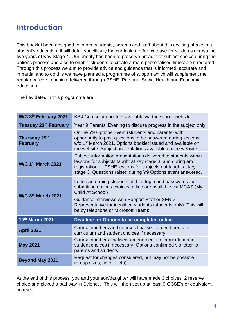## **Introduction**

This booklet been designed to inform students, parents and staff about this exciting phase in a student's education. It will detail specifically the curriculum offer we have for students across the two years of Key Stage 4. Our priority has been to preserve breadth of subject choice during the options process and also to enable students to create a more personalised timetable if required. Through this process we aim to provide advice and guidance that is informed, accurate and impartial and to do this we have planned a programme of support which will supplement the regular careers teaching delivered through PSHE (Personal Social Health and Economic education).

The key dates in this programme are:

| W/C 8th February 2021            | KS4 Curriculum booklet available via the school website.                                                                                                                                                                                                                                                      |  |  |
|----------------------------------|---------------------------------------------------------------------------------------------------------------------------------------------------------------------------------------------------------------------------------------------------------------------------------------------------------------|--|--|
| Tuesday 23rd February            | Year 9 Parents' Evening to discuss progress in the subject only                                                                                                                                                                                                                                               |  |  |
| Thursday 25th<br><b>February</b> | Online Y9 Options Event (students and parents) with<br>opportunity to post questions to be answered during lessons<br>w/c 1 <sup>st</sup> March 2021. Options booklet issued and available on<br>the website. Subject presentations available on the website.                                                 |  |  |
| W/C 1st March 2021               | Subject information presentations delivered to students within<br>lessons for subjects taught at key stage 3, and during am<br>registration or PSHE lessons for subjects not taught at key<br>stage 3. Questions raised during Y9 Options event answered.                                                     |  |  |
| W/C 8th March 2021               | Letters informing students of their login and passwords for<br>submitting options choices online are available via MCAS (My<br>Child At School)<br>Guidance interviews with Support Staff or SEND<br>Representative for identified students (students only). This will<br>be by telephone or Microsoft Teams. |  |  |
| 19th March 2021                  | Deadline for Options to be completed online                                                                                                                                                                                                                                                                   |  |  |
| <b>April 2021</b>                | Course numbers and courses finalised, amendments to<br>curriculum and student choices if necessary.                                                                                                                                                                                                           |  |  |
| <b>May 2021</b>                  | Course numbers finalised, amendments to curriculum and<br>student choices if necessary. Options confirmed via letter to<br>parents and students.                                                                                                                                                              |  |  |
| <b>Beyond May 2021</b>           | Request for changes considered, but may not be possible<br>(group sizes, time, etc)                                                                                                                                                                                                                           |  |  |

At the end of this process, you and your son/daughter will have made 3 choices, 2 reserve choice and picked a pathway in Science. This will then set up at least 9 GCSE's or equivalent courses.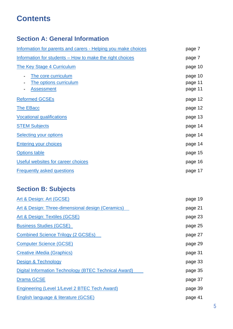## **Contents**

### **Section A: General Information**

| Information for parents and carers - Helping you make choices      | page 7                        |
|--------------------------------------------------------------------|-------------------------------|
| Information for students – How to make the right choices           | page 7                        |
| <b>The Key Stage 4 Curriculum</b>                                  | page 10                       |
| The core curriculum<br>The options curriculum<br><b>Assessment</b> | page 10<br>page 11<br>page 11 |
| <b>Reformed GCSEs</b>                                              | page 12                       |
| <b>The EBacc</b>                                                   | page 12                       |
| <b>Vocational qualifications</b>                                   | page 13                       |
| <b>STEM Subjects</b>                                               | page 14                       |
| <b>Selecting your options</b>                                      | page 14                       |
| <b>Entering your choices</b>                                       | page 14                       |
| <b>Options table</b>                                               | page 15                       |
| Useful websites for career choices                                 | page 16                       |
| <b>Frequently asked questions</b>                                  | page 17                       |

### **Section B: Subjects**

| page 19 |
|---------|
| page 21 |
| page 23 |
| page 25 |
| page 27 |
| page 29 |
| page 31 |
| page 33 |
| page 35 |
| page 37 |
| page 39 |
| page 41 |
|         |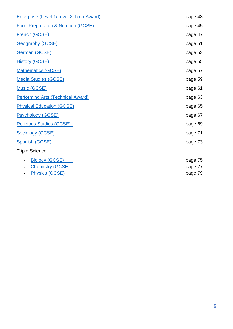| <b>Enterprise (Level 1/Level 2 Tech Award)</b> | page 43 |
|------------------------------------------------|---------|
| <b>Food Preparation &amp; Nutrition (GCSE)</b> | page 45 |
| French (GCSE)                                  | page 47 |
| <b>Geography (GCSE)</b>                        | page 51 |
| German (GCSE)                                  | page 53 |
| <b>History (GCSE)</b>                          | page 55 |
| <b>Mathematics (GCSE)</b>                      | page 57 |
| <b>Media Studies (GCSE)</b>                    | page 59 |
| <b>Music (GCSE)</b>                            | page 61 |
| <b>Performing Arts (Technical Award)</b>       | page 63 |
| <b>Physical Education (GCSE)</b>               | page 65 |
| <b>Psychology (GCSE)</b>                       | page 67 |
| <b>Religious Studies (GCSE)</b>                | page 69 |
| <b>Sociology (GCSE)</b>                        | page 71 |
| <b>Spanish (GCSE)</b>                          | page 73 |
| Triple Science:                                |         |
| <b>Biology (GCSE)</b>                          | page 75 |
| <b>Chemistry (GCSE)</b>                        | page 77 |
| <b>Physics (GCSE)</b>                          | page 79 |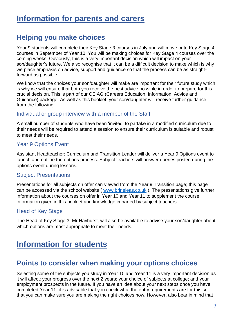### <span id="page-6-0"></span>**Helping you make choices**

Year 9 students will complete their Key Stage 3 courses in July and will move onto Key Stage 4 courses in September of Year 10. You will be making choices for Key Stage 4 courses over the coming weeks. Obviously, this is a very important decision which will impact on your son/daughter's future. We also recognise that it can be a difficult decision to make which is why we place emphasis on advice, support and guidance so that the process can be as straightforward as possible.

We know that the choices your son/daughter will make are important for their future study which is why we will ensure that both you receive the best advice possible in order to prepare for this crucial decision. This is part of our CEIAG (Careers Education, Information, Advice and Guidance) package. As well as this booklet, your son/daughter will receive further guidance from the following:

#### Individual or group interview with a member of the Staff

A small number of students who have been 'invited' to partake in a modified curriculum due to their needs will be required to attend a session to ensure their curriculum is suitable and robust to meet their needs.

### Year 9 Options Event

Assistant Headteacher: Curriculum and Transition Leader will deliver a Year 9 Options event to launch and outline the options process. Subject teachers will answer queries posted during the options event during lessons.

#### Subject Presentations

Presentations for all subjects on offer can viewed from the Year 9 Transition page; this page can be accessed via the school website ( [www.brineleas.co.uk](http://www.brineleas.co.uk/) ). The presentations give further information about the courses on offer in Year 10 and Year 11 to supplement the course information given in this booklet and knowledge imparted by subject teachers.

### Head of Key Stage

The Head of Key Stage 3, Mr Hayhurst, will also be available to advise your son/daughter about which options are most appropriate to meet their needs.

### <span id="page-6-1"></span>**Information for students**

### **Points to consider when making your options choices**

Selecting some of the subjects you study in Year 10 and Year 11 is a very important decision as it will affect: your progress over the next 2 years; your choice of subjects at college; and your employment prospects in the future. If you have an idea about your next steps once you have completed Year 11, it is advisable that you check what the entry requirements are for this so that you can make sure you are making the right choices now. However, also bear in mind that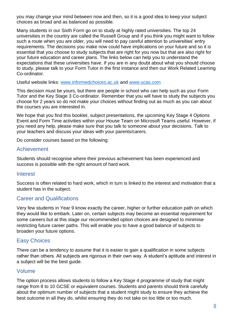you may change your mind between now and then, so it is a good idea to keep your subject choices as broad and as balanced as possible.

Many students in our Sixth Form go on to study at highly rated universities. The top 24 universities in the country are called the Russell Group and if you think you might want to follow such a route when you are older, you will need to pay careful attention to universities' entry requirements. The decisions you make now could have implications on your future and so it is essential that you choose to study subjects that are right for you now but that are also right for your future education and career plans. The links below can help you to understand the expectations that these universities have. If you are in any doubt about what you should choose to study, please talk to your Form Tutor in the first instance and then our Work Related Learning Co-ordinator.

Useful website links: [www.informedchoices.ac.uk](http://www.informedchoices.ac.uk/) and [www.ucas.com](http://www.ucas.com/)

This decision must be yours, but there are people in school who can help such as your Form Tutor and the Key Stage 3 Co-ordinator. Remember that you will have to study the subjects you choose for 2 years so do not make your choices without finding out as much as you can about the courses you are interested in.

We hope that you find this booklet, subject presentations, the upcoming Key Stage 4 Options Event and Form Time activities within your House Team on Microsoft Teams useful. However, if you need any help, please make sure that you talk to someone about your decisions. Talk to your teachers and discuss your ideas with your parents/carers.

Do consider courses based on the following:

#### Achievement

Students should recognise where their previous achievement has been experienced and success is possible with the right amount of hard work.

#### **Interest**

Success is often related to hard work, which in turn is linked to the interest and motivation that a student has in the subject.

### Career and Qualifications

Very few students in Year 9 know exactly the career, higher or further education path on which they would like to embark. Later on, certain subjects may become an essential requirement for some careers but at this stage our recommended option choices are designed to minimise restricting future career paths. This will enable you to have a good balance of subjects to broaden your future options.

### Easy Choices

There can be a tendency to assume that it is easier to gain a qualification in some subjects rather than others. All subjects are rigorous in their own way. A student's aptitude and interest in a subject will be the best guide.

#### Volume

The option process allows students to follow a Key Stage 4 programme of study that might range from 8 to 10 GCSE or equivalent courses. Students and parents should think carefully about the optimum number of subjects that a student might study to ensure they achieve the best outcome in all they do, whilst ensuring they do not take on too little or too much.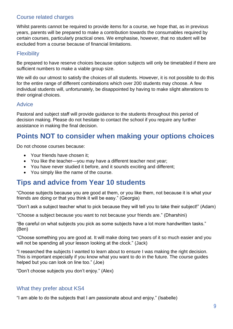### Course related charges

Whilst parents cannot be required to provide items for a course, we hope that, as in previous years, parents will be prepared to make a contribution towards the consumables required by certain courses, particularly practical ones. We emphasise, however, that no student will be excluded from a course because of financial limitations.

### **Flexibility**

Be prepared to have reserve choices because option subjects will only be timetabled if there are sufficient numbers to make a viable group size.

We will do our utmost to satisfy the choices of all students. However, it is not possible to do this for the entire range of different combinations which over 200 students may choose. A few individual students will, unfortunately, be disappointed by having to make slight alterations to their original choices.

#### **Advice**

Pastoral and subject staff will provide guidance to the students throughout this period of decision making. Please do not hesitate to contact the school if you require any further assistance in making the final decision.

### **Points NOT to consider when making your options choices**

Do not choose courses because:

- Your friends have chosen it:
- You like the teacher—you may have a different teacher next year;
- You have never studied it before, and it sounds exciting and different;
- You simply like the name of the course.

### **Tips and advice from Year 10 students**

"Choose subjects because you are good at them, or you like them, not because it is what your friends are doing or that you think it will be easy." (Georgia)

"Don't ask a subject teacher what to pick because they will tell you to take their subject!" (Adam)

"Choose a subject because you want to not because your friends are." (Dharshini)

"Be careful on what subjects you pick as some subjects have a lot more handwritten tasks." (Ben)

"Choose something you are good at. It will make doing two years of it so much easier and you will not be spending all your lesson looking at the clock." (Jack)

"I researched the subjects I wanted to learn about to ensure I was making the right decision. This is important especially if you know what you want to do in the future. The course guides helped but you can look on line too." (Joe)

"Don't choose subjects you don't enjoy." (Alex)

### What they prefer about KS4

"I am able to do the subjects that I am passionate about and enjoy." (Isabelle)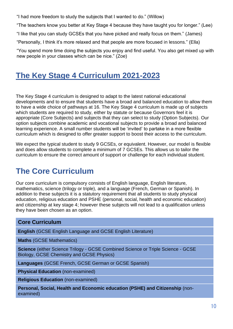"I had more freedom to study the subjects that I wanted to do." (Willow)

"The teachers know you better at Key Stage 4 because they have taught you for longer." (Lee)

"I like that you can study GCSEs that you have picked and really focus on them." (James)

"Personally, I think it's more relaxed and that people are more focused in lessons." (Ella)

"You spend more time doing the subjects you enjoy and find useful. You also get mixed up with new people in your classes which can be nice." (Zoe)

## <span id="page-9-0"></span>**The Key Stage 4 Curriculum 2021-2023**

The Key Stage 4 curriculum is designed to adapt to the latest national educational developments and to ensure that students have a broad and balanced education to allow them to have a wide choice of pathways at 16. The Key Stage 4 curriculum is made up of subjects which students are required to study, either by statute or because Governors feel it is appropriate (Core Subjects) and subjects that they can select to study (Option Subjects). Our option subjects combine academic and vocational subjects to provide a broad and balanced learning experience. A small number students will be 'invited' to partake in a more flexible curriculum which is designed to offer greater support to boost their access to the curriculum.

We expect the typical student to study 9 GCSEs, or equivalent. However, our model is flexible and does allow students to complete a minimum of 7 GCSEs. This allows us to tailor the curriculum to ensure the correct amount of support or challenge for each individual student.

## <span id="page-9-1"></span>**The Core Curriculum**

Our core curriculum is compulsory consists of English language, English literature, mathematics, science (trilogy or triple), and a language (French, German or Spanish). In addition to these subjects it is a statutory requirement that all students to study physical education, religious education and PSHE (personal, social, health and economic education) and citizenship at key stage 4; however these subjects will not lead to a qualification unless they have been chosen as an option.

### **Core Curriculum**

**English** (GCSE English Language and GCSE English Literature)

**Maths** (GCSE Mathematics)

**Science** (either Science Trilogy - GCSE Combined Science or Triple Science - GCSE Biology, GCSE Chemistry and GCSE Physics)

**Languages** (GCSE French, GCSE German or GCSE Spanish)

**Physical Education** (non-examined)

**Religious Education** (non-examined)

**Personal, Social, Health and Economic education (PSHE) and Citizenship** (nonexamined)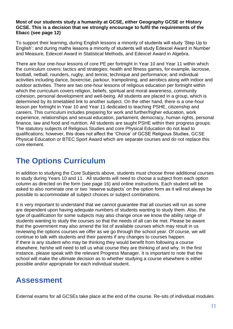#### **Most of our students study a humanity at GCSE, either Geography GCSE or History GCSE. This is a decision that we strongly encourage to fulfil the requirements of the Ebacc (see page 12)**

To support their learning, during English lessons a minority of students will study 'Step Up to English'; and during maths lessons a minority of students will study Edexcel Award in Number and Measure, Edexcel Award in Statistical Methods, and Edexcel Award in Algebra.

There are four one-hour lessons of core PE per fortnight in Year 10 and Year 11 within which the curriculum covers: tactics and strategies; health and fitness games, for example, lacrosse, football, netball, rounders, rugby, and tennis; technique and performance; and individual activities including dance, boxercise, parkour, trampolining, and aerobics along with indoor and outdoor activities. There are two one-hour lessons of religious education per fortnight within which the curriculum covers religion, beliefs, spiritual and moral awareness, community cohesion, personal development and well-being. All students are placed in a group, which is determined by its timetabled link to another subject. On the other hand, there is a one-hour lesson per fortnight in Year 10 and Year 11 dedicated to teaching PSHE, citizenship and careers. This curriculum includes preparing for work and further/higher education, work experience, relationships and sexual education, parliament, democracy, human rights, personal finance, law and food and nutrition. All students are taught PSHE within their progress groups. The statutory subjects of Religious Studies and core Physical Education do not lead to qualifications; however, this does not affect the 'Choice' of GCSE Religious Studies, GCSE Physical Education or BTEC Sport Award which are separate courses and do not replace this core element.

### <span id="page-10-0"></span>**The Options Curriculum**

In addition to studying the Core Subjects above, students must choose three additional courses to study during Years 10 and 11. All students will need to choose a subject from each option column as directed on the form (see page 16) and online instructions. Each student will be asked to also nominate one or two 'reserve subjects' on the option form as it will not always be possible to accommodate all subject choices or subject combinations.

It is very important to understand that we cannot guarantee that all courses will run as some are dependent upon having adequate numbers of students wanting to study them. Also, the type of qualification for some subjects may also change once we know the ability range of students wanting to study the courses so that the needs of all can be met. Please be aware that the government may also amend the list of available courses which may result in us reviewing the options courses we offer as we go through the school year. Of course, we will continue to talk with students and their parents if any changes to courses happen. If there is any student who may be thinking they would benefit from following a course elsewhere, he/she will need to tell us what course they are thinking of and why. In the first instance, please speak with the relevant Progress Manager. It is important to note that the school will make the ultimate decision as to whether studying a course elsewhere is either possible and/or appropriate for each individual student.

### <span id="page-10-1"></span>**Assessment**

External exams for all GCSEs take place at the end of the course. Re-sits of individual modules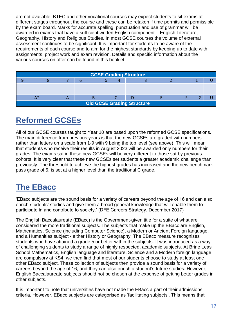are not available. BTEC and other vocational courses may expect students to sit exams at different stages throughout the course and these can be retaken if time permits and permissible by the exam board. Marks for accurate spelling, punctuation and use of grammar will be awarded in exams that have a sufficient written English component – English Literature, Geography, History and Religious Studies. In most GCSE courses the volume of external assessment continues to be significant. It is important for students to be aware of the requirements of each course and to aim for the highest standards by keeping up to date with assignments, project work and exam revision. Details and specific information about the various courses on offer can be found in this booklet.



## <span id="page-11-0"></span>**Reformed GCSEs**

All of our GCSE courses taught to Year 10 are based upon the reformed GCSE specifications. The main difference from previous years is that the new GCSEs are graded with numbers rather than letters on a scale from 1-9 with 9 being the top level (see above). This will mean that students who receive their results in August 2023 will be awarded only numbers for their grades. The exams sat in these new GCSEs will be very different to those sat by previous cohorts. It is very clear that these new GCSEs set students a greater academic challenge than previously. The threshold to achieve the highest grades has increased and the new benchmark pass grade of 5, is set at a higher level than the traditional C grade.

## <span id="page-11-1"></span>**The EBacc**

'EBacc subjects are the sound basis for a variety of careers beyond the age of 16 and can also enrich students' studies and give them a broad general knowledge that will enable them to participate in and contribute to society.' (DFE Careers Strategy, December 2017)

The English Baccalaureate (EBacc) is the Government-given title for a suite of what are considered the more traditional subjects. The subjects that make up the EBacc are English, Mathematics, Science (including Computer Science), a Modern or Ancient Foreign language, and a Humanities subject - either History or Geography. The EBacc measure recognises students who have attained a grade 5 or better within the subiects. It was introduced as a way of challenging students to study a range of highly respected, academic subjects. At Brine Leas School Mathematics, English language and literature, Science and a Modern foreign language are compulsory at KS4; we then find that most of our students choose to study at least one other EBacc subject. These collection of subjects then provide a sound basis for a variety of careers beyond the age of 16, and they can also enrich a student's future studies. However, English Baccalaureate subjects should not be chosen at the expense of getting better grades in other subjects.

It is important to note that universities have not made the EBacc a part of their admissions criteria. However, EBacc subjects are categorised as 'facilitating subjects'. This means that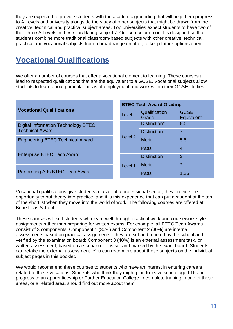they are expected to provide students with the academic grounding that will help them progress to A Levels and university alongside the study of other subjects that might be drawn from the creative, technical and practical subject areas. Top universities expect students to have two of their three A Levels in these 'facilitating subjects'. Our curriculum model is designed so that students combine more traditional classroom-based subjects with other creative, technical, practical and vocational subjects from a broad range on offer, to keep future options open.

## <span id="page-12-0"></span>**Vocational Qualifications**

We offer a number of courses that offer a vocational element to learning. These courses all lead to respected qualifications that are the equivalent to a GCSE. Vocational subjects allow students to learn about particular areas of employment and work within their GCSE studies.

|                                         | <b>BTEC Tech Award Grading</b> |                        |                           |
|-----------------------------------------|--------------------------------|------------------------|---------------------------|
| <b>Vocational Qualifications</b>        | Level                          | Qualification<br>Grade | <b>GCSE</b><br>Equivalent |
| Digital Information Technology BTEC     |                                | Distinction*           | 8.5                       |
| <b>Technical Award</b>                  |                                | <b>Distinction</b>     | 7                         |
| <b>Engineering BTEC Technical Award</b> | Level 2                        | <b>Merit</b>           | 5.5                       |
|                                         |                                | Pass                   | 4                         |
| <b>Enterprise BTEC Tech Award</b>       |                                | <b>Distinction</b>     | 3                         |
|                                         | Level 1                        | <b>Merit</b>           | $\overline{2}$            |
| Performing Arts BTEC Tech Award         |                                | Pass                   | 1.25                      |

Vocational qualifications give students a taster of a professional sector; they provide the opportunity to put theory into practice, and it is this experience that can put a student at the top of the shortlist when they move into the world of work. The following courses are offered at Brine Leas School.

These courses will suit students who learn well through practical work and coursework style assignments rather than preparing for written exams. For example, all BTEC Tech Awards consist of 3 components: Component 1 (30%) and Component 2 (30%) are internal assessments based on practical assignments - they are set and marked by the school and verified by the examination board; Component 3 (40%) is an external assessment task, or written assessment, based on a scenario – it is set and marked by the exam board. Students can retake the external assessment. You can read more about these subjects on the individual subject pages in this booklet.

We would recommend these courses to students who have an interest in entering careers related to these vocations. Students who think they might plan to leave school aged 16 and progress to an apprenticeship or Further Education College to complete training in one of these areas, or a related area, should find out more about them.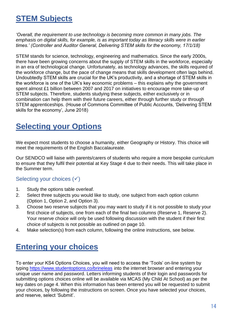### <span id="page-13-0"></span>**STEM Subjects**

*'Overall, the requirement to use technology is becoming more common in many jobs. The emphasis on digital skills, for example, is as important today as literacy skills were in earlier times.' (Controller and Auditor General, Delivering STEM skills for the economy, 17/1/18)*

STEM stands for science, technology, engineering and mathematics. Since the early 2000s, there have been growing concerns about the supply of STEM skills in the workforce, especially in an era of technological change. Unfortunately, as technology advances, the skills required of the workforce change, but the pace of change means that skills development often lags behind. Undoubtedly STEM skills are crucial for the UK's productivity, and a shortage of STEM skills in the workforce is one of the UK's key economic problems – this explains why the government spent almost £1 billion between 2007 and 2017 on initiatives to encourage more take-up of STEM subjects. Therefore, students studying these subjects, either exclusively or in combination can help them with their future careers, either through further study or through STEM apprenticeships. (House of Commons Committee of Public Accounts, 'Delivering STEM skills for the economy', June 2018)

### <span id="page-13-1"></span>**Selecting your Options**

We expect most students to choose a humanity, either Geography or History. This choice will meet the requirements of the English Baccalaureate.

Our SENDCO will liaise with parents/carers of students who require a more bespoke curriculum to ensure that they fulfil their potential at Key Stage 4 due to their needs. This will take place in the Summer term.

### Selecting your choices  $(√)$

- 1. Study the options table overleaf.
- 2. Select three subjects you would like to study, one subject from each option column (Option 1, Option 2, and Option 3).
- 3. Choose two reserve subjects that you may want to study if it is not possible to study your first choice of subjects, one from each of the final two columns (Reserve 1, Reserve 2). Your reserve choice will only be used following discussion with the student if their first choice of subjects is not possible as outlined on page 10.
- <span id="page-13-2"></span>4. Make selection(s) from each column, following the online instructions, see below.

## **Entering your choices**

<span id="page-13-3"></span>To enter your KS4 Options Choices, you will need to access the 'Tools' on-line system by typing [https://www.studentoptions.co/brineleas](https://www.studentoptions.co/brineleas/) into the internet browser and entering your unique user name and password. Letters informing students of their login and passwords for submitting options choices online will be available via MCAS (My Child At School) as per the key dates on page 4. When this information has been entered you will be requested to submit your choices, by following the instructions on screen. Once you have selected your choices, and reserve, select 'Submit'.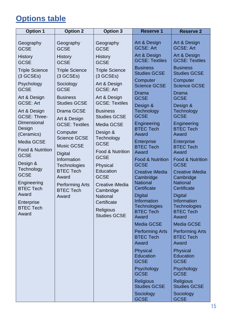## **Options table**

| <b>Option 1</b>                           | <b>Option 2</b>                                                                                                 | <b>Option 3</b>                                                                                                                                              | <b>Reserve 1</b>                                                | <b>Reserve 2</b>                                                |
|-------------------------------------------|-----------------------------------------------------------------------------------------------------------------|--------------------------------------------------------------------------------------------------------------------------------------------------------------|-----------------------------------------------------------------|-----------------------------------------------------------------|
| Geography<br><b>GCSE</b>                  | Geography<br><b>GCSE</b>                                                                                        | Geography<br><b>GCSE</b>                                                                                                                                     | Art & Design<br><b>GCSE: Art</b>                                | Art & Design<br><b>GCSE: Art</b>                                |
| <b>History</b><br><b>GCSE</b>             | <b>History</b><br><b>GCSE</b>                                                                                   | <b>History</b><br><b>GCSE</b>                                                                                                                                | Art & Design<br><b>GCSE: Textiles</b>                           | Art & Design<br><b>GCSE: Textiles</b>                           |
| <b>Triple Science</b><br>(3 GCSEs)        | <b>Triple Science</b><br>(3 GCSEs)                                                                              | <b>Triple Science</b><br>(3 GCSEs)                                                                                                                           | <b>Business</b><br><b>Studies GCSE</b><br>Computer              | <b>Business</b><br><b>Studies GCSE</b><br>Computer              |
| Psychology<br><b>GCSE</b>                 | Sociology<br><b>GCSE</b>                                                                                        | Art & Design<br><b>GCSE: Art</b>                                                                                                                             | <b>Science GCSE</b><br>Drama                                    | <b>Science GCSE</b><br>Drama                                    |
| Art & Design<br><b>GCSE: Art</b>          | <b>Business</b><br><b>Studies GCSE</b>                                                                          | Art & Design<br><b>GCSE: Textiles</b>                                                                                                                        | <b>GCSE</b><br>Design &                                         | <b>GCSE</b><br>Design &                                         |
| Art & Design<br><b>GCSE: Three-</b>       | Drama GCSE                                                                                                      | <b>Business</b><br><b>Studies GCSE</b>                                                                                                                       | Technology<br><b>GCSE</b>                                       | Technology<br><b>GCSE</b>                                       |
| Dimensional<br>Design<br>(Ceramics)       | Art & Design<br><b>GCSE: Textiles</b><br>Computer<br><b>Science GCSE</b><br><b>Music GCSE</b><br><b>Digital</b> | Media GCSE<br>Design &<br>Technology<br><b>GCSE</b><br><b>Food &amp; Nutrition</b><br><b>GCSE</b><br>Physical<br>Education<br><b>GCSE</b><br>Creative iMedia | Engineering<br><b>BTEC Tech</b><br>Award                        | Engineering<br><b>BTEC Tech</b><br>Award                        |
| Media GCSE<br><b>Food &amp; Nutrition</b> |                                                                                                                 |                                                                                                                                                              | <b>Enterprise</b><br><b>BTEC Tech</b><br>Award                  | <b>Enterprise</b><br><b>BTEC Tech</b><br>Award                  |
| <b>GCSE</b><br>Design &                   | Information<br>Technologies                                                                                     |                                                                                                                                                              | <b>Food &amp; Nutrition</b><br><b>GCSE</b>                      | <b>Food &amp; Nutrition</b><br><b>GCSE</b>                      |
| Technology<br><b>GCSE</b><br>Engineering  | <b>BTEC Tech</b><br>Award<br><b>Performing Arts</b>                                                             |                                                                                                                                                              | <b>Creative iMedia</b><br>Cambridge<br><b>National</b>          | Creative iMedia<br>Cambridge<br><b>National</b>                 |
| <b>BTEC Tech</b><br>Award                 | <b>BTEC Tech</b><br>Award                                                                                       | Cambridge<br><b>National</b>                                                                                                                                 | Certificate<br><b>Digital</b>                                   | Certificate<br><b>Digital</b>                                   |
| Enterprise<br><b>BTEC Tech</b><br>Award   |                                                                                                                 | Certificate<br><b>Religious</b><br><b>Studies GCSE</b>                                                                                                       | Information<br><b>Technologies</b><br><b>BTEC Tech</b><br>Award | Information<br><b>Technologies</b><br><b>BTEC Tech</b><br>Award |
|                                           |                                                                                                                 |                                                                                                                                                              | <b>Media GCSE</b>                                               | <b>Media GCSE</b>                                               |
|                                           |                                                                                                                 |                                                                                                                                                              | <b>Performing Arts</b><br><b>BTEC Tech</b><br>Award             | <b>Performing Arts</b><br><b>BTEC Tech</b><br>Award             |
|                                           |                                                                                                                 |                                                                                                                                                              | <b>Physical</b><br><b>Education</b><br><b>GCSE</b>              | <b>Physical</b><br><b>Education</b><br><b>GCSE</b>              |
|                                           |                                                                                                                 |                                                                                                                                                              | Psychology<br><b>GCSE</b>                                       | Psychology<br><b>GCSE</b>                                       |
|                                           |                                                                                                                 |                                                                                                                                                              | <b>Religious</b><br><b>Studies GCSE</b>                         | <b>Religious</b><br><b>Studies GCSE</b>                         |
|                                           |                                                                                                                 |                                                                                                                                                              | Sociology<br><b>GCSE</b>                                        | Sociology<br><b>GCSE</b>                                        |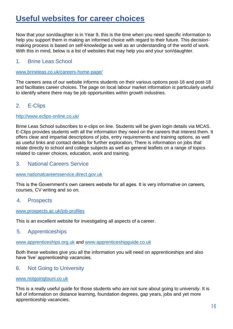### <span id="page-15-0"></span>**Useful websites for career choices**

Now that your son/daughter is in Year 9, this is the time when you need specific information to help you support them in making an informed choice with regard to their future. This decisionmaking process is based on self-knowledge as well as an understanding of the world of work. With this in mind, below is a list of websites that may help you and your son/daughter.

#### 1. Brine Leas School

#### [www.brineleas.co.uk/careers-home-page/](http://www.brineleas.co.uk/careers-home-page/)

The careers area of our website informs students on their various options post-16 and post-18 and facilitates career choices. The page on local labour market information is particularly useful to identify where there may be job opportunities within growth industries.

### 2. E-Clips

#### <http://www.eclips-online.co.uk/>

Brine Leas School subscribes to e-clips on line. Students will be given login details via MCAS. E-Clips provides students with all the information they need on the careers that interest them. It offers clear and impartial descriptions of jobs, entry requirements and training options, as well as useful links and contact details for further exploration, There is information on jobs that relate directly to school and college subjects as well as general leaflets on a range of topics related to career choices, education, work and training.

#### 3. National Careers Service

#### [www.nationalcareersservice.direct.gov.uk](http://www.nationalcareersservice.direct.gov.uk/)

This is the Government's own careers website for all ages. It is very informative on careers, courses, CV writing and so on.

4. Prospects

#### [www.prospects.ac.uk/job-profiles](http://www.prospects.ac.uk/job-profiles)

This is an excellent website for investigating all aspects of a career.

#### 5. Apprenticeships

#### [www.apprenticeships.org.uk](http://www.apprenticeships.org.uk/) and [www.apprenticeshipguide.co.uk](http://www.apprenticeshipguide.co.uk/)

Both these websites give you all the information you will need on apprenticeships and also have 'live' apprenticeship vacancies.

#### 6. Not Going to University

#### [www.notgoingtouni.co.uk](http://www.notgoingtouni.co.uk/)

This is a really useful guide for those students who are not sure about going to university. It is full of information on distance learning, foundation degrees, gap years, jobs and yet more apprenticeship vacancies.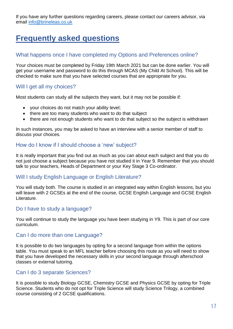If you have any further questions regarding careers, please contact our careers advisor, via email [info@brineleas.co.uk](mailto:info@brineleas.co.uk)

## <span id="page-16-0"></span>**Frequently asked questions**

### What happens once I have completed my Options and Preferences online?

Your choices must be completed by Friday 19th March 2021 but can be done earlier. You will get your username and password to do this through MCAS (My Child At School). This will be checked to make sure that you have selected courses that are appropriate for you.

### Will I get all my choices?

Most students can study all the subjects they want, but it may not be possible if:

- your choices do not match your ability level;
- there are too many students who want to do that subject
- there are not enough students who want to do that subject so the subject is withdrawn

In such instances, you may be asked to have an interview with a senior member of staff to discuss your choices.

#### How do I know if I should choose a 'new' subject?

It is really important that you find out as much as you can about each subject and that you do not just choose a subject because you have not studied it in Year 9. Remember that you should talk to your teachers, Heads of Department or your Key Stage 3 Co-ordinator.

### Will I study English Language or English Literature?

You will study both. The course is studied in an integrated way within English lessons, but you will leave with 2 GCSEs at the end of the course, GCSE English Language and GCSE English Literature.

### Do I have to study a language?

You will continue to study the language you have been studying in Y9. This is part of our core curriculum.

#### Can I do more than one Language?

It is possible to do two languages by opting for a second language from within the options table. You must speak to an MFL teacher before choosing this route as you will need to show that you have developed the necessary skills in your second language through afterschool classes or external tutoring.

### Can I do 3 separate Sciences?

It is possible to study Biology GCSE, Chemistry GCSE and Physics GCSE by opting for Triple Science. Students who do not opt for Triple Science will study Science Trilogy, a combined course consisting of 2 GCSE qualifications.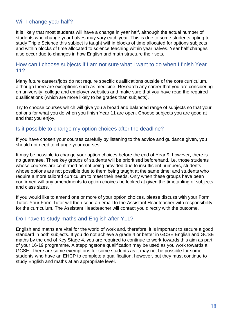### Will I change year half?

It is likely that most students will have a change in year half, although the actual number of students who change year halves may vary each year. This is due to some students opting to study Triple Science this subject is taught within blocks of time allocated for options subjects and within blocks of time allocated to science teaching within year halves. Year half changes also occur due to changes in how English and math structure their sets.

#### How can I choose subjects if I am not sure what I want to do when I finish Year 11?

Many future careers/jobs do not require specific qualifications outside of the core curriculum, although there are exceptions such as medicine. Research any career that you are considering on university, college and employer websites and make sure that you have read the required qualifications (which are more likely to be grades than subjects).

Try to choose courses which will give you a broad and balanced range of subjects so that your options for what you do when you finish Year 11 are open. Choose subjects you are good at and that you enjoy.

#### Is it possible to change my option choices after the deadline?

If you have chosen your courses carefully by listening to the advice and guidance given, you should not need to change your courses.

It may be possible to change your option choices before the end of Year 9; however, there is no guarantee. Three key groups of students will be prioritised beforehand, i.e. those students whose courses are confirmed as not being provided due to insufficient numbers, students whose options are not possible due to them being taught at the same time; and students who require a more tailored curriculum to meet their needs. Only when these groups have been confirmed will any amendments to option choices be looked at given the timetabling of subjects and class sizes.

If you would like to amend one or more of your option choices, please discuss with your Form Tutor. Your Form Tutor will then send an email to the Assistant Headteacher with responsibility for the curriculum. The Assistant Headteacher will contact you directly with the outcome.

#### Do I have to study maths and English after Y11?

<span id="page-17-0"></span>English and maths are vital for the world of work and, therefore, it is important to secure a good standard in both subjects. If you do not achieve a grade 4 or better in GCSE English and GCSE maths by the end of Key Stage 4, you are required to continue to work towards this aim as part of your 16-19 programme. A steppingstone qualification may be used as you work towards a GCSE. There are some exemptions for some students as it may not be possible for some students who have an EHCP to complete a qualification, however, but they must continue to study English and maths at an appropriate level.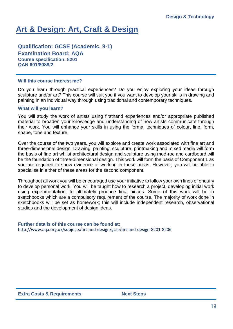## **Art & Design: Art, Craft & Design**

**Qualification: GCSE (Academic, 9-1) Examination Board: AQA Course specification: 8201 QAN 601/8088/2**

#### **Will this course interest me?**

Do you learn through practical experiences? Do you enjoy exploring your ideas through sculpture and/or art? This course will suit you if you want to develop your skills in drawing and painting in an individual way through using traditional and contemporary techniques.

#### **What will you learn?**

You will study the work of artists using firsthand experiences and/or appropriate published material to broaden your knowledge and understanding of how artists communicate through their work. You will enhance your skills in using the formal techniques of colour, line, form, shape, tone and texture.

Over the course of the two years, you will explore and create work associated with fine art and three-dimensional design. Drawing, painting, sculpture, printmaking and mixed media will form the basis of fine art whilst architectural design and sculpture using mod-roc and cardboard will be the foundation of three-dimensional design. This work will form the basis of Component 1 as you are required to show evidence of working in these areas. However, you will be able to specialise in either of these areas for the second component.

Throughout all work you will be encouraged use your initiative to follow your own lines of enquiry to develop personal work. You will be taught how to research a project, developing initial work using experimentation, to ultimately produce final pieces. Some of this work will be in sketchbooks which are a compulsory requirement of the course. The majority of work done in sketchbooks will be set as homework; this will include independent research, observational studies and the development of design ideas.

#### **Further details of this course can be found at:**  <http://www.aqa.org.uk/subjects/art-and-design/gcse/art-and-design-8201-8206>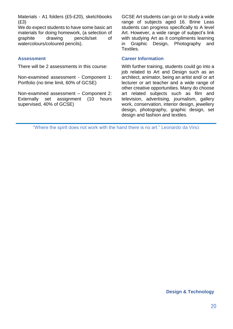Materials - A1 folders (£5-£20), sketchbooks (£3)

We do expect students to have some basic art materials for doing homework, (a selection of graphite drawing pencils/set of watercolours/coloured pencils).

There will be 2 assessments in this course:

Non-examined assessment - Component 1: Portfolio (no time limit, 60% of GCSE)

Non-examined assessment – Component 2: Externally set assignment (10 hours supervised, 40% of GCSE)

GCSE Art students can go on to study a wide range of subjects aged 16. Brine Leas students can progress specifically to A level Art. However, a wide range of subject's link with studying Art as it compliments learning in Graphic Design, Photography and Textiles.

#### **Assessment Career Information**

With further training, students could go into a job related to Art and Design such as an architect, animator, being an artist and/ or art lecturer or art teacher and a wide range of other creative opportunities. Many do choose art related subjects such as film and television, advertising, journalism, gallery work, conservation, interior design, jewellery design, photography, graphic design, set design and fashion and textiles.

<span id="page-19-0"></span>"Where the spirit does not work with the hand there is no art." Leonardo da Vinci

#### **Design & Technology**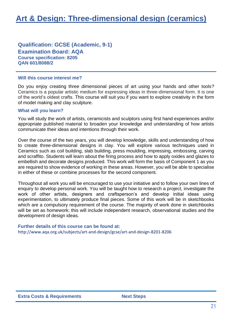#### **Qualification: GCSE (Academic, 9-1) Examination Board: AQA Course specification: 8205 QAN 601/8088/2**

#### **Will this course interest me?**

Do you enjoy creating three dimensional pieces of art using your hands and other tools? Ceramics is a popular artistic medium for expressing ideas in three-dimensional form. It is one of the world's oldest crafts. This course will suit you if you want to explore creativity in the form of model making and clay sculpture.

#### **What will you learn?**

You will study the work of artists, ceramicists and sculptors using first hand experiences and/or appropriate published material to broaden your knowledge and understanding of how artists communicate their ideas and intentions through their work.

Over the course of the two years, you will develop knowledge, skills and understanding of how to create three-dimensional designs in clay. You will explore various techniques used in Ceramics such as coil building, slab building, press moulding, impressing, embossing, carving and scraffito. Students will learn about the firing process and how to apply oxides and glazes to embellish and decorate designs produced. This work will form the basis of Component 1 as you are required to show evidence of working in these areas. However, you will be able to specialise in either of these or combine processes for the second component.

Throughout all work you will be encouraged to use your initiative and to follow your own lines of enquiry to develop personal work. You will be taught how to research a project, investigate the work of other artists, designers and craftsperson's and develop initial ideas using experimentation, to ultimately produce final pieces. Some of this work will be in sketchbooks which are a compulsory requirement of the course. The majority of work done in sketchbooks will be set as homework; this will include independent research, observational studies and the development of design ideas.

#### **Further details of this course can be found at:**

<http://www.aqa.org.uk/subjects/art-and-design/gcse/art-and-design-8201-8206>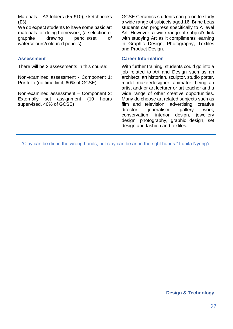Materials – A3 folders (£5-£10), sketchbooks (£3)

We do expect students to have some basic art materials for doing homework, (a selection of graphite drawing pencils/set of watercolours/coloured pencils).

There will be 2 assessments in this course:

Non-examined assessment - Component 1: Portfolio (no time limit, 60% of GCSE)

Non-examined assessment – Component 2: Externally set assignment (10 hours supervised, 40% of GCSE)

GCSE Ceramics students can go on to study a wide range of subjects aged 16. Brine Leas students can progress specifically to A level Art. However, a wide range of subject's link with studying Art as it compliments learning in Graphic Design, Photography, Textiles and Product Design.

#### **Assessment Career Information**

With further training, students could go into a job related to Art and Design such as an architect, art historian, sculptor, studio potter, model maker/designer, animator, being an artist and/ or art lecturer or art teacher and a wide range of other creative opportunities. Many do choose art related subjects such as film and television, advertising, creative director, journalism, gallery work, conservation, interior design, jewellery design, photography, graphic design, set design and fashion and textiles.

<span id="page-21-0"></span>"Clay can be dirt in the wrong hands, but clay can be art in the right hands." Lupita Nyong'o

#### **Design & Technology**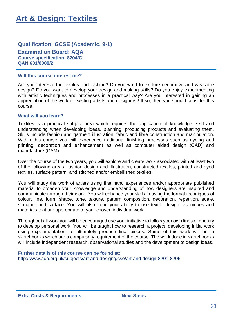### **Art & Design: Textiles**

#### **Qualification: GCSE (Academic, 9-1) Examination Board: AQA Course specification: 8204/C QAN 601/8088/2**

#### **Will this course interest me?**

Are you interested in textiles and fashion? Do you want to explore decorative and wearable design? Do you want to develop your design and making skills? Do you enjoy experimenting with artistic techniques and processes in a practical way? Are you interested in gaining an appreciation of the work of existing artists and designers? If so, then you should consider this course.

#### **What will you learn?**

Textiles is a practical subject area which requires the application of knowledge, skill and understanding when developing ideas, planning, producing products and evaluating them. Skills include fashion and garment illustration, fabric and fibre construction and manipulation. Within this course you will experience traditional finishing processes such as dyeing and printing, decoration and enhancement as well as computer aided design (CAD) and manufacture (CAM).

Over the course of the two years, you will explore and create work associated with at least two of the following areas: fashion design and illustration, constructed textiles, printed and dyed textiles, surface pattern, and stitched and/or embellished textiles.

You will study the work of artists using first hand experiences and/or appropriate published material to broaden your knowledge and understanding of how designers are inspired and communicate through their work. You will enhance your skills in using the formal techniques of colour, line, form, shape, tone, texture, pattern composition, decoration, repetition, scale, structure and surface. You will also hone your ability to use textile design techniques and materials that are appropriate to your chosen individual work.

Throughout all work you will be encouraged use your initiative to follow your own lines of enquiry to develop personal work. You will be taught how to research a project, developing initial work using experimentation, to ultimately produce final pieces. Some of this work will be in sketchbooks which are a compulsory requirement of the course. The work done in sketchbooks will include independent research, observational studies and the development of design ideas.

#### **Further details of this course can be found at:**

<http://www.aqa.org.uk/subjects/art-and-design/gcse/art-and-design-8201-8206>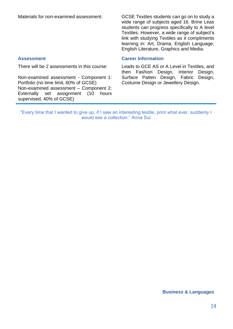Materials for non-examined assessment. GCSE Textiles students can go on to study a wide range of subjects aged 16. Brine Leas students can progress specifically to A level Textiles. However, a wide range of subject's link with studying Textiles as it compliments learning in: Art, Drama, English Language, English Literature, Graphics and Media.

There will be 2 assessments in this course:

Non-examined assessment - Component 1: Portfolio (no time limit, 60% of GCSE) Non-examined assessment – Component 2: Externally set assignment (10 hours supervised, 40% of GCSE)

#### **Assessment Career Information**

Leads to GCE AS or A Level in Textiles, and then Fashion Design, Interior Design, Surface Patten Design, Fabric Design, Costume Design or Jewellery Design.

"Every time that I wanted to give up, if I saw an interesting textile, print what ever, suddenly I would see a collection." Anna Sui

#### <span id="page-23-0"></span>**Business & Languages**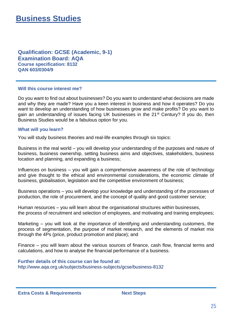**Qualification: GCSE (Academic, 9-1) Examination Board: AQA Course specification: 8132 QAN 603/0304/9**

#### **Will this course interest me?**

Do you want to find out about businesses? Do you want to understand what decisions are made and why they are made? Have you a keen interest in business and how it operates? Do you want to develop an understanding of how businesses grow and make profits? Do you want to gain an understanding of issues facing UK businesses in the 21<sup>st</sup> Century? If you do, then Business Studies would be a fabulous option for you.

#### **What will you learn?**

You will study business theories and real-life examples through six topics:

Business in the real world – you will develop your understanding of the purposes and nature of business, business ownership, setting business aims and objectives, stakeholders, business location and planning, and expanding a business;

Influences on business – you will gain a comprehensive awareness of the role of technology and give thought to the ethical and environmental considerations, the economic climate of business, globalisation, legislation and the competitive environment of business;

Business operations – you will develop your knowledge and understanding of the processes of production, the role of procurement, and the concept of quality and good customer service;

Human resources – you will learn about the organisational structures within businesses, the process of recruitment and selection of employees, and motivating and training employees;

Marketing – you will look at the importance of identifying and understanding customers, the process of segmentation, the purpose of market research, and the elements of market mix through the 4Ps (price, product promotion and place); and

Finance – you will learn about the various sources of finance, cash flow, financial terms and calculations, and how to analyse the financial performance of a business.

**Further details of this course can be found at:**  <http://www.aqa.org.uk/subjects/business-subjects/gcse/business-8132>

**Extra Costs & Requirements Next Steps**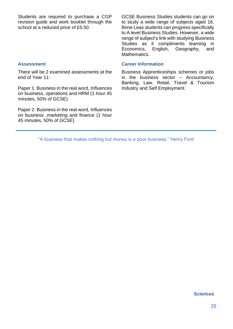Students are required to purchase a CGP revision guide and work booklet through the school at a reduced price of £5.50.

GCSE Business Studies students can go on to study a wide range of subjects aged 16. Brine Leas students can progress specifically to A level Business Studies. However, a wide range of subject's link with studying Business Studies as it compliments learning in Economics, English, Geography, and Mathematics.

#### **Assessment Career Information**

Business Apprenticeships schemes or jobs in the business sector  $-$  Accountancy, Banking, Law, Retail, Travel & Tourism Industry and Self Employment.

There will be 2 examined assessments at the end of Year 11:

Paper 1: Business in the real word, Influences on business, operations and HRM (1 hour 45 minutes, 50% of GCSE)

Paper 2: Business in the real word, Influences on business ,marketing and finance (1 hour 45 minutes, 50% of GCSE)

<span id="page-25-0"></span>"A business that makes nothing but money is a poor business." Henry Ford

#### **Sciences**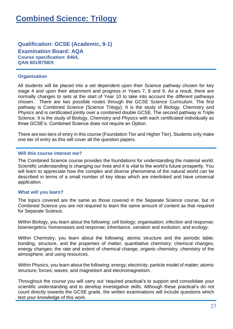### **Combined Science: Trilogy**

**Qualification: GCSE (Academic, 9-1) Examination Board: AQA Course specification: 8464, QAN 601/8758/X**

#### **Organisation**

All students will be placed into a set dependent upon their Science pathway chosen for key stage 4 and upon their attainment and progress in Years 7, 8 and 9. As a result, there are normally changes to sets at the start of Year 10 to take into account the different pathways chosen. There are two possible routes through the GCSE Science Curriculum. The first pathway is Combined Science (Science Trilogy). It is the study of Biology, Chemistry and Physics and is certificated jointly over a combined double GCSE. The second pathway is Triple Science. It is the study of Biology, Chemistry and Physics with each certificated individually as three GCSE's. Combined Science does not require an Option.

There are two tiers of entry in this course (Foundation Tier and Higher Tier). Students only make one tier of entry as this will cover all the question papers.

#### **Will this course interest me?**

The Combined Science course provides the foundations for understanding the material world. Scientific understanding is changing our lives and it is vital to the world's future prosperity. You will learn to appreciate how the complex and diverse phenomena of the natural world can be described in terms of a small number of key ideas which are interlinked and have universal application.

#### **What will you learn?**

The topics covered are the same as those covered in the Separate Science course, but in Combined Science you are not required to learn the same amount of content as that required for Separate Science.

Within Biology, you learn about the following: cell biology; organisation; infection and response; bioenergetics; homeostasis and response; inheritance, variation and evolution; and ecology.

Within Chemistry, you learn about the following: atomic structure and the periodic table; bonding, structure, and the properties of matter; quantitative chemistry; chemical changes; energy changes; the rate and extent of chemical change; organic chemistry; chemistry of the atmosphere; and using resources.

Within Physics, you learn about the following: energy; electricity; particle model of matter; atomic structure; forces; waves; and magnetism and electromagnetism.

Throughout the course you will carry out 'required practical's to support and consolidate your scientific understanding and to develop investigative skills. Although these practical's do not count directly towards the GCSE grade, the written examinations will include questions which test your knowledge of this work.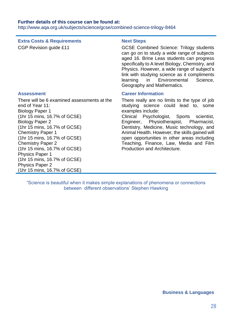#### **Further details of this course can be found at:**

<http://www.aqa.org.uk/subjects/science/gcse/combined-science-trilogy-8464>

### **Extra Costs & Requirements Next Steps**

CGP Revision quide £11 CGCSE Combined Science: Trilogy students can go on to study a wide range of subjects aged 16. Brine Leas students can progress specifically to A level Biology, Chemistry, and Physics. However, a wide range of subject's link with studying science as it compliments learning in Environmental Science, Geography and Mathematics.

There will be 6 examined assessments at the end of Year 11: Biology Paper 1 (1hr 15 mins, 16.7% of GCSE) Biology Paper 2 (1hr 15 mins, 16.7% of GCSE) Chemistry Paper 1 (1hr 15 mins, 16.7% of GCSE) Chemistry Paper 2 (1hr 15 mins, 16.7% of GCSE) Physics Paper 1 (1hr 15 mins, 16.7% of GCSE) Physics Paper 2 (1hr 15 mins, 16.7% of GCSE)

#### **Assessment Career Information**

There really are no limits to the type of job studying science could lead to, some examples include: Clinical Psychologist, Sports scientist, Engineer, Physiotherapist, Pharmacist, Dentistry, Medicine, Music technology, and Animal Health. However, the skills gained will open opportunities in other areas including Teaching, Finance, Law, Media and Film Production and Architecture.

<span id="page-27-0"></span>"Science is beautiful when it makes simple explanations of phenomena or connections between different observations' Stephen Hawking

#### **Business & Languages**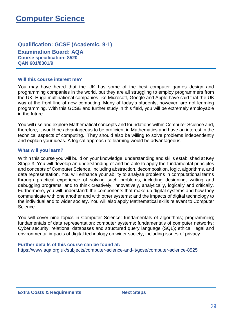### **Computer Science**

#### **Qualification: GCSE (Academic, 9-1) Examination Board: AQA Course specification: 8520 QAN 601/8301/9**

#### **Will this course interest me?**

You may have heard that the UK has some of the best computer games design and programming companies in the world, but they are all struggling to employ programmers from the UK. Huge multinational companies like Microsoft, Google and Apple have said that the UK was at the front line of new computing. Many of today's students, however, are not learning programming. With this GCSE and further study in this field, you will be extremely employable in the future.

You will use and explore Mathematical concepts and foundations within Computer Science and, therefore, it would be advantageous to be proficient in Mathematics and have an interest in the technical aspects of computing. They should also be willing to solve problems independently and explain your ideas. A logical approach to learning would be advantageous.

#### **What will you learn?**

Within this course you will build on your knowledge, understanding and skills established at Key Stage 3. You will develop an understanding of and be able to apply the fundamental principles and concepts of Computer Science, including abstraction, decomposition, logic, algorithms, and data representation. You will enhance your ability to analyse problems in computational terms through practical experience of solving such problems, including designing, writing and debugging programs; and to think creatively, innovatively, analytically, logically and critically. Furthermore, you will understand: the components that make up digital systems and how they communicate with one another and with other systems; and the impacts of digital technology to the individual and to wider society. You will also apply Mathematical skills relevant to Computer Science.

You will cover nine topics in Computer Science: fundamentals of algorithms; programming; fundamentals of data representation; computer systems; fundamentals of computer networks; Cyber security; relational databases and structured query language (SQL); ethical, legal and environmental impacts of digital technology on wider society, including issues of privacy.

**Further details of this course can be found at:**  <https://www.aqa.org.uk/subjects/computer-science-and-it/gcse/computer-science-8525>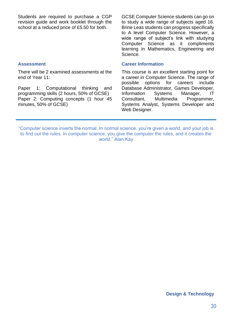Students are required to purchase a CGP revision guide and work booklet through the school at a reduced price of £5.50 for both.

There will be 2 examined assessments at the

Paper 1: Computational thinking and programming skills (2 hours, 50% of GCSE) Paper 2: Computing concepts (1 hour 45

end of Year 11:

minutes, 50% of GCSE)

GCSE Computer Science students can go on to study a wide range of subjects aged 16. Brine Leas students can progress specifically to A level Computer Science. However, a wide range of subject's link with studying Computer Science as it compliments learning in Mathematics, Engineering and Science.

#### **Assessment Career Information**

This course is an excellent starting point for a career in Computer Science. The range of possible options for careers include Database Administrator, Games Developer, Information Systems Manager, IT Consultant, Multimedia Programmer, Systems Analyst, Systems Developer and Web Designer.

"Computer science inverts the normal. In normal science, you're given a world, and your job is to find out the rules. In computer science, you give the computer the rules, and it creates the world." Alan Kay

<span id="page-29-0"></span>**Design & Technology**

#### 30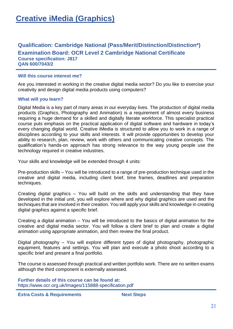### **Qualification: Cambridge National (Pass/Merit/Distinction/Distinction\*) Examination Board: OCR Level 2 Cambridge National Certificate Course specification: J817 QAN 600/7043/2**

#### **Will this course interest me?**

Are you interested in working in the creative digital media sector? Do you like to exercise your creativity and design digital media products using computers?

#### **What will you learn?**

Digital Media is a key part of many areas in our everyday lives. The production of digital media products (Graphics, Photography and Animation) is a requirement of almost every business requiring a huge demand for a skilled and digitally literate workforce. This specialist practical course puts emphasis on the practical application of digital software and hardware in today's every changing digital world. Creative iMedia is structured to allow you to work in a range of disciplines according to your skills and interests. It will provide opportunities to develop your ability to research, plan, review, work with others and communicating creative concepts. The qualification's hands-on approach has strong relevance to the way young people use the technology required in creative industries.

Your skills and knowledge will be extended through 4 units:

Pre-production skills – You will be introduced to a range of pre-production technique used in the creative and digital media, including client brief, time frames, deadlines and preparation techniques.

Creating digital graphics – You will build on the skills and understanding that they have developed in the initial unit, you will explore where and why digital graphics are used and the techniques that are involved in their creation. You will apply your skills and knowledge in creating digital graphics against a specific brief.

Creating a digital animation – You will be introduced to the basics of digital animation for the creative and digital media sector. You will follow a client brief to plan and create a digital animation using appropriate animation, and then review the final product.

Digital photography – You will explore different types of digital photography, photographic equipment, features and settings. You will plan and execute a photo shoot according to a specific brief and present a final portfolio.

The course is assessed through practical and written portfolio work. There are no written exams although the third component is externally assessed.

**Further details of this course can be found at:**  <https://www.ocr.org.uk/Images/115888-specification.pdf>

**Extra Costs & Requirements Next Steps**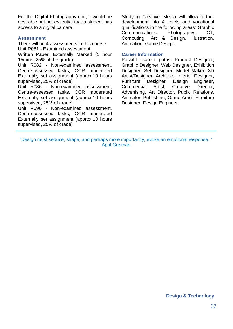For the Digital Photography unit, it would be desirable but not essential that a student has access to a digital camera.

#### **Assessment**

There will be 4 assessments in this course: Unit R081 - Examined assessment,

Written Paper, Externally Marked (1 hour 15mins, 25% of the grade)

Unit R082 - Non-examined assessment, Centre-assessed tasks, OCR moderated Externally set assignment (approx.10 hours supervised, 25% of grade)

Unit R086 - Non-examined assessment, Centre-assessed tasks, OCR moderated Externally set assignment (approx.10 hours supervised, 25% of grade)

Unit R090 - Non-examined assessment, Centre-assessed tasks, OCR moderated Externally set assignment (approx.10 hours supervised, 25% of grade)

Studying Creative iMedia will allow further development into A levels and vocational qualifications in the following areas: Graphic Communications, Photography, ICT, Computing, Art & Design, Illustration, Animation, Game Design.

#### **Career Information**

Possible career paths: Product Designer, Graphic Designer, Web Designer, Exhibition Designer, Set Designer, Model Maker, 3D Artist/Designer, Architect, Interior Designer, Furniture Designer, Design Engineer, Commercial Artist, Creative Director, Advertising, Art Director, Public Relations, Animator, Publishing, Game Artist, Furniture Designer, Design Engineer.

<span id="page-31-0"></span>"Design must seduce, shape, and perhaps more importantly, evoke an emotional response. " April Greiman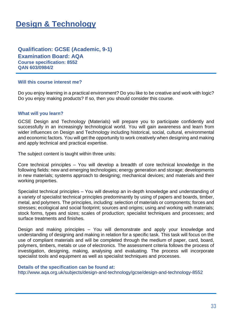### **Design & Technology**

### **Qualification: GCSE (Academic, 9-1)**

**Examination Board: AQA Course specification: 8552 QAN 603/0984/2** 

#### **Will this course interest me?**

Do you enjoy learning in a practical environment? Do you like to be creative and work with logic? Do you enjoy making products? If so, then you should consider this course.

#### **What will you learn?**

GCSE Design and Technology (Materials) will prepare you to participate confidently and successfully in an increasingly technological world. You will gain awareness and learn from wider influences on Design and Technology including historical, social, cultural, environmental and economic factors. You will get the opportunity to work creatively when designing and making and apply technical and practical expertise.

The subject content is taught within three units:

Core technical principles – You will develop a breadth of core technical knowledge in the following fields: new and emerging technologies; energy generation and storage; developments in new materials; systems approach to designing; mechanical devices; and materials and their working properties.

Specialist technical principles – You will develop an in-depth knowledge and understanding of a variety of specialist technical principles predominantly by using of papers and boards, timber, metal, and polymers. The principles, including: selection of materials or components; forces and stresses; ecological and social footprint; sources and origins; using and working with materials; stock forms, types and sizes; scales of production; specialist techniques and processes; and surface treatments and finishes.

Design and making principles – You will demonstrate and apply your knowledge and understanding of designing and making in relation for a specific task. This task will focus on the use of compliant materials and will be completed through the medium of paper, card, board, polymers, timbers, metals or use of electronics. The assessment criteria follows the process of investigation, designing, making, analysing and evaluating. The process will incorporate specialist tools and equipment as well as specialist techniques and processes.

#### **Details of the specification can be found at:**

<http://www.aqa.org.uk/subjects/design-and-technology/gcse/design-and-technology-8552>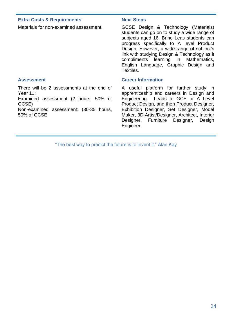#### **Extra Costs & Requirements Mext Steps**

There will be 2 assessments at the end of Year 11:

Examined assessment (2 hours, 50% of GCSE)

Non-examined assessment: (30-35 hours, 50% of GCSE

Materials for non-examined assessment. GCSE Design & Technology (Materials) students can go on to study a wide range of subjects aged 16. Brine Leas students can progress specifically to A level Product Design. However, a wide range of subject's link with studying Design & Technology as it compliments learning in Mathematics, English Language, Graphic Design and Textiles.

#### **Assessment Career Information**

A useful platform for further study in apprenticeship and careers in Design and Engineering. Leads to GCE or A Level Product Design, and then Product Designer, Exhibition Designer, Set Designer, Model Maker, 3D Artist/Designer, Architect, Interior Designer, Furniture Designer, Design Engineer.

"The best way to predict the future is to invent it." Alan Kay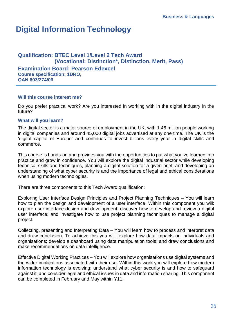### <span id="page-34-0"></span>**Digital Information Technology**

#### **Qualification: BTEC Level 1/Level 2 Tech Award (Vocational: Distinction\*, Distinction, Merit, Pass) Examination Board: Pearson Edexcel Course specification: 1DRO, QAN 603/274/06**

#### **Will this course interest me?**

Do you prefer practical work? Are you interested in working with in the digital industry in the future?

#### **What will you learn?**

The digital sector is a major source of employment in the UK, with 1.46 million people working in digital companies and around 45,000 digital jobs advertised at any one time. The UK is the 'digital capital of Europe' and continues to invest billions every year in digital skills and commerce.

This course is hands-on and provides you with the opportunities to put what you've learned into practice and grow in confidence. You will explore the digital industrial sector while developing technical skills and techniques, planning a digital solution for a given brief, and developing an understanding of what cyber security is and the importance of legal and ethical considerations when using modern technologies.

There are three components to this Tech Award qualification:

Exploring User Interface Design Principles and Project Planning Techniques – You will learn how to plan the design and development of a user interface. Within this component you will: explore user interface design and development; discover how to develop and review a digital user interface; and investigate how to use project planning techniques to manage a digital project.

Collecting, presenting and Interpreting Data – You will learn how to process and interpret data and draw conclusion. To achieve this you will: explore how data impacts on individuals and organisations; develop a dashboard using data manipulation tools; and draw conclusions and make recommendations on data intelligence.

Effective Digital Working Practices – You will explore how organisations use digital systems and the wider implications associated with their use. Within this work you will explore how modern information technology is evolving; understand what cyber security is and how to safeguard against it; and consider legal and ethical issues in data and information sharing. This component can be completed in February and May within Y11.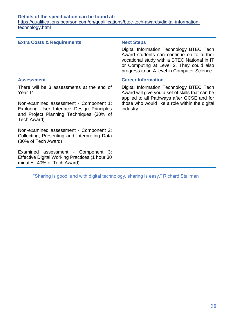#### **Details of the specification can be found at:**

[https://qualifications.pearson.com/en/qualifications/btec-tech-awards/digital-information](https://qualifications.pearson.com/en/qualifications/btec-tech-awards/digital-information-technology.html)[technology.html](https://qualifications.pearson.com/en/qualifications/btec-tech-awards/digital-information-technology.html)

#### **Extra Costs & Requirements Next Steps**

Digital Information Technology BTEC Tech Award students can continue on to further vocational study with a BTEC National in IT or Computing at Level 2. They could also progress to an A level in Computer Science.

There will be 3 assessments at the end of Year 11:

Non-examined assessment - Component 1: Exploring User Interface Design Principles and Project Planning Techniques (30% of Tech Award)

Non-examined assessment - Component 2: Collecting, Presenting and Interpreting Data (30% of Tech Award)

Examined assessment - Component 3: Effective Digital Working Practices (1 hour 30 minutes, 40% of Tech Award)

#### **Assessment Career Information**

Digital Information Technology BTEC Tech Award will give you a set of skills that can be applied to all Pathways after GCSE and for those who would like a role within the digital industry.

"Sharing is good, and with digital technology, sharing is easy." Richard Stallman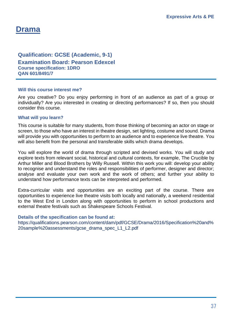# **Drama**

# **Qualification: GCSE (Academic, 9-1) Examination Board: Pearson Edexcel**

**Course specification: 1DRO QAN 601/8491/7**

# **Will this course interest me?**

Are you creative? Do you enjoy performing in front of an audience as part of a group or individually? Are you interested in creating or directing performances? If so, then you should consider this course.

# **What will you learn?**

This course is suitable for many students, from those thinking of becoming an actor on stage or screen, to those who have an interest in theatre design, set lighting, costume and sound. Drama will provide you with opportunities to perform to an audience and to experience live theatre. You will also benefit from the personal and transferable skills which drama develops.

You will explore the world of drama through scripted and devised works. You will study and explore texts from relevant social, historical and cultural contexts, for example, The Crucible by Arthur Miller and Blood Brothers by Willy Russell. Within this work you will: develop your ability to recognise and understand the roles and responsibilities of performer, designer and director; analyse and evaluate your own work and the work of others; and further your ability to understand how performance texts can be interpreted and performed.

Extra-curricular visits and opportunities are an exciting part of the course. There are opportunities to experience live theatre visits both locally and nationally, a weekend residential to the West End in London along with opportunities to perform in school productions and external theatre festivals such as Shakespeare Schools Festival.

# **Details of the specification can be found at:**

[https://qualifications.pearson.com/content/dam/pdf/GCSE/Drama/2016/Specification%20and%](https://qualifications.pearson.com/content/dam/pdf/GCSE/Drama/2016/Specification%20and%20sample%20assessments/gcse_drama_spec_L1_L2.pdf) [20sample%20assessments/gcse\\_drama\\_spec\\_L1\\_L2.pdf](https://qualifications.pearson.com/content/dam/pdf/GCSE/Drama/2016/Specification%20and%20sample%20assessments/gcse_drama_spec_L1_L2.pdf)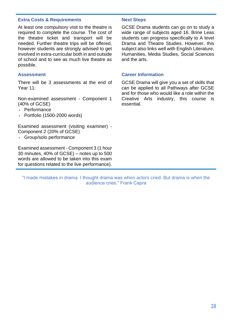# **Extra Costs & Requirements Mext Steps**

At least one compulsory visit to the theatre is required to complete the course. The cost of the theatre ticket and transport will be needed. Further theatre trips will be offered, however students are strongly advised to get involved in extra-curricular both in and outside of school and to see as much live theatre as possible.

There will be 3 assessments at the end of Year 11:

Non-examined assessment - Component 1 (40% of GCSE)

- Performance
- Portfolio (1500-2000 words)

Examined assessment (visiting examiner) - Component 2 (20% of GCSE)

- Group/solo performance

Examined assessment - Component 3 (1 hour 30 minutes, 40% of GCSE) – notes up to 500 words are allowed to be taken into this exam for questions related to the live performance).

GCSE Drama students can go on to study a wide range of subjects aged 16. Brine Leas students can progress specifically to A level Drama and Theatre Studies. However, this subject also links well with English Literature, Humanities, Media Studies, Social Sciences and the arts.

### **Assessment Career Information**

GCSE Drama will give you a set of skills that can be applied to all Pathways after GCSE and for those who would like a role within the Creative Arts industry, this course is essential.

"I made mistakes in drama. I thought drama was when actors cried. But drama is when the audience cries." Frank Capra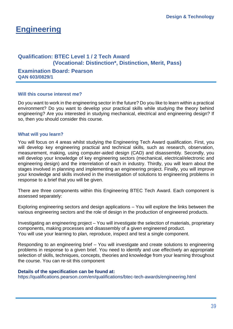# **Engineering**

# **Qualification: BTEC Level 1 / 2 Tech Award (Vocational: Distinction\*, Distinction, Merit, Pass)**

**Examination Board: Pearson QAN 603/0829/1**

# **Will this course interest me?**

Do you want to work in the engineering sector in the future? Do you like to learn within a practical environment? Do you want to develop your practical skills while studying the theory behind engineering? Are you interested in studying mechanical, electrical and engineering design? If so, then you should consider this course.

# **What will you learn?**

You will focus on 4 areas whilst studying the Engineering Tech Award qualification. First, you will develop key engineering practical and technical skills, such as research, observation, measurement, making, using computer-aided design (CAD) and disassembly. Secondly, you will develop your knowledge of key engineering sectors (mechanical, electrical/electronic and engineering design) and the interrelation of each in industry. Thirdly, you will learn about the stages involved in planning and implementing an engineering project. Finally, you will improve your knowledge and skills involved in the investigation of solutions to engineering problems in response to a brief that you will be given.

There are three components within this Engineering BTEC Tech Award. Each component is assessed separately:

Exploring engineering sectors and design applications – You will explore the links between the various engineering sectors and the role of design in the production of engineered products.

Investigating an engineering project – You will investigate the selection of materials, proprietary components, making processes and disassembly of a given engineered product. You will use your learning to plan, reproduce, inspect and test a single component.

Responding to an engineering brief – You will investigate and create solutions to engineering problems in response to a given brief. You need to identify and use effectively an appropriate selection of skills, techniques, concepts, theories and knowledge from your learning throughout the course. You can re-sit this component

# **Details of the specification can be found at:**

<https://qualifications.pearson.com/en/qualifications/btec-tech-awards/engineering.html>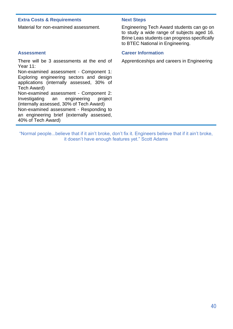# **Extra Costs & Requirements Mext Steps**

There will be 3 assessments at the end of Year 11:

Non-examined assessment - Component 1: Exploring engineering sectors and design applications (internally assessed, 30% of Tech Award) Non-examined assessment - Component 2: Investigating an engineering project

(internally assessed, 30% of Tech Award) Non-examined assessment - Responding to an engineering brief (externally assessed, 40% of Tech Award)

Material for non-examined assessment. Engineering Tech Award students can go on to study a wide range of subjects aged 16. Brine Leas students can progress specifically to BTEC National in Engineering.

# **Assessment Career Information**

Apprenticeships and careers in Engineering

"Normal people...believe that if it ain't broke, don't fix it. Engineers believe that if it ain't broke, it doesn't have enough features yet." Scott Adams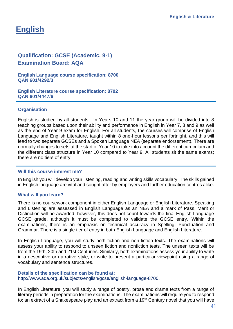# **English**

# **Qualification: GCSE (Academic, 9-1) Examination Board: AQA**

**English Language course specification: 8700 QAN 601/4292/3** 

**English Literature course specification: 8702 QAN 601/4447/6**

# **Organisation**

English is studied by all students. In Years 10 and 11 the year group will be divided into 8 teaching groups based upon their ability and performance in English in Year 7, 8 and 9 as well as the end of Year 9 exam for English. For all students, the courses will comprise of English Language and English Literature, taught within 8 one-hour lessons per fortnight, and this will lead to two separate GCSEs and a Spoken Language NEA (separate endorsement). There are normally changes to sets at the start of Year 10 to take into account the different curriculum and the different class structure in Year 10 compared to Year 9. All students sit the same exams; there are no tiers of entry.

### **Will this course interest me?**

In English you will develop your listening, reading and writing skills vocabulary. The skills gained in English language are vital and sought after by employers and further education centres alike.

### **What will you learn?**

There is no coursework component in either English Language or English Literature. Speaking and Listening are assessed in English Language as an NEA and a mark of Pass, Merit or Distinction will be awarded; however, this does not count towards the final English Language GCSE grade, although it must be completed to validate the GCSE entry. Within the examinations, there is an emphasis on technical accuracy in Spelling, Punctuation and Grammar. There is a single tier of entry in both English Language and English Literature.

In English Language, you will study both fiction and non-fiction texts. The examinations will assess your ability to respond to unseen fiction and nonfiction tests. The unseen texts will be from the 19th, 20th and 21st Centuries. Similarly, both examinations assess your ability to write in a descriptive or narrative style, or write to present a particular viewpoint using a range of vocabulary and sentence structures.

### **Details of the specification can be found at:**

[http://www.aqa.org.uk/subjects/english/gcse/english-language-8700.](http://www.aqa.org.uk/subjects/english/gcse/english-language-8700)

In English Literature, you will study a range of poetry, prose and drama texts from a range of literary periods in preparation for the examinations. The examinations will require you to respond to: an extract of a Shakespeare play and an extract from a 19<sup>th</sup> Century novel that you will have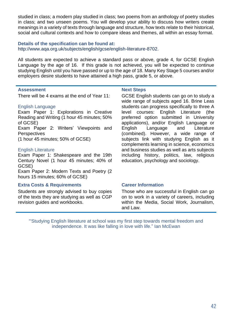studied in class; a modern play studied in class; two poems from an anthology of poetry studies in class; and two unseen poems. You will develop your ability to discuss how writers create meanings in a variety of texts through language and structure, how texts relate to their historical, social and cultural contexts and how to compare ideas and themes, all within an essay format.

# **Details of the specification can be found at:** [http://www.aqa.org.uk/subjects/english/gcse/english-literature-8702.](http://www.aqa.org.uk/subjects/english/gcse/english-literature-8702)

All students are expected to achieve a standard pass or above, grade 4, for GCSE English Language by the age of 16. If this grade is not achieved, you will be expected to continue studying English until you have passed or up to the age of 18. Many Key Stage 5 courses and/or employers desire students to have attained a high pass, grade 5, or above.

## **Assessment Next Steps**

There will be 4 exams at the end of Year 11:

# English Language

Exam Paper 1: Explorations in Creative Reading and Writing (1 hour 45 minutes; 50% of GCSE)

Exam Paper 2: Writers' Viewpoints and **Perspectives** 

(1 hour 45 minutes; 50% of GCSE)

### English Literature

Exam Paper 1: Shakespeare and the 19th Century Novel (1 hour 45 minutes; 40% of GCSE)

Exam Paper 2: Modern Texts and Poetry (2 hours 15 minutes; 60% of GCSE)

# **Extra Costs & Requirements Career Information**

Students are strongly advised to buy copies of the texts they are studying as well as CGP revision guides and workbooks.

GCSE English students can go on to study a wide range of subjects aged 16. Brine Leas students can progress specifically to three A level courses: English Literature (the preferred option submitted in University applications), and/or English Language or English Language and Literature (combined). However, a wide range of subjects link with studying English as it complements learning in science, economics and business studies as well as arts subjects including history, politics, law, religious education, psychology and sociology.

Those who are successful in English can go on to work in a variety of careers, including within the Media, Social Work, Journalism, and Law.

"'Studying English literature at school was my first step towards mental freedom and independence. It was like falling in love with life." Ian McEwan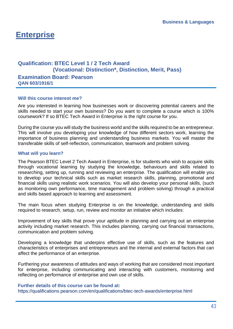# **Enterprise**

# **Qualification: BTEC Level 1 / 2 Tech Award (Vocational: Distinction\*, Distinction, Merit, Pass)**

**Examination Board: Pearson QAN 603/1916/1**

## **Will this course interest me?**

Are you interested in learning how businesses work or discovering potential careers and the skills needed to start your own business? Do you want to complete a course which is 100% coursework? If so BTEC Tech Award in Enterprise is the right course for you.

During the course you will study the business world and the skills required to be an entrepreneur. This will involve you developing your knowledge of how different sectors work, learning the importance of business planning and understanding business markets. You will master the transferable skills of self-reflection, communication, teamwork and problem solving.

## **What will you learn?**

The Pearson BTEC Level 2 Tech Award in Enterprise, is for students who wish to acquire skills through vocational learning by studying the knowledge, behaviours and skills related to researching, setting up, running and reviewing an enterprise. The qualification will enable you to develop your technical skills such as market research skills, planning, promotional and financial skills using realistic work scenarios. You will also develop your personal skills, (such as monitoring own performance, time management and problem solving) through a practical and skills based approach to learning and assessment.

The main focus when studying Enterprise is on the knowledge, understanding and skills required to research, setup, run, review and monitor an initiative which includes:

Improvement of key skills that prove your aptitude in planning and carrying out an enterprise activity including market research. This includes planning, carrying out financial transactions, communication and problem solving.

Developing a knowledge that underpins effective use of skills, such as the features and characteristics of enterprises and entrepreneurs and the internal and external factors that can affect the performance of an enterprise.

Furthering your awareness of attitudes and ways of working that are considered most important for enterprise, including communicating and interacting with customers, monitoring and reflecting on performance of enterprise and own use of skills.

### **Further details of this course can be found at:**

<https://qualifications.pearson.com/en/qualifications/btec-tech-awards/enterprise.html>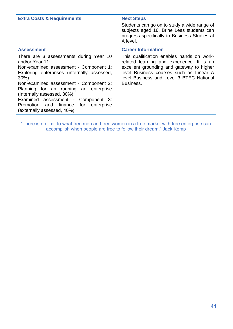## **Extra Costs & Requirements Mext Steps**

Students can go on to study a wide range of subjects aged 16. Brine Leas students can progress specifically to Business Studies at A level.

There are 3 assessments during Year 10 and/or Year 11: Non-examined assessment - Component 1: Exploring enterprises (internally assessed, 30%) Non-examined assessment - Component 2: Planning for an running an enterprise (Internally assessed, 30%) Examined assessment - Component 3:

Promotion and finance for enterprise (externally assessed, 40%)

# **Assessment Career Information**

This qualification enables hands on workrelated learning and experience. It is an excellent grounding and gateway to higher level Business courses such as Linear A level Business and Level 3 BTEC National Business.

"There is no limit to what free men and free women in a free market with free enterprise can accomplish when people are free to follow their dream." Jack Kemp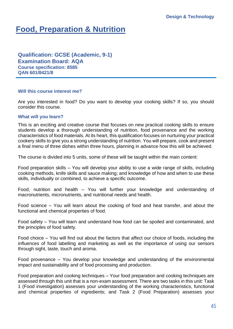# **Food, Preparation & Nutrition**

**Qualification: GCSE (Academic, 9-1) Examination Board: AQA Course specification: 8585 QAN 601/8421/8**

## **Will this course interest me?**

Are you interested in food? Do you want to develop your cooking skills? If so, you should consider this course.

## **What will you learn?**

This is an exciting and creative course that focuses on new practical cooking skills to ensure students develop a thorough understanding of nutrition, food provenance and the working characteristics of food materials. At its heart, this qualification focuses on nurturing your practical cookery skills to give you a strong understanding of nutrition. You will prepare, cook and present a final menu of three dishes within three hours, planning in advance how this will be achieved.

The course is divided into 5 units, some of these will be taught within the main content:

Food preparation skills – You will develop your ability to use a wide range of skills, including cooking methods, knife skills and sauce making; and knowledge of how and when to use these skills, individually or combined, to achieve a specific outcome.

Food, nutrition and health – You will further your knowledge and understanding of macronutrients, micronutrients, and nutritional needs and health.

Food science – You will learn about the cooking of food and heat transfer, and about the functional and chemical properties of food.

Food safety – You will learn and understand how food can be spoiled and contaminated, and the principles of food safety.

Food choice – You will find out about the factors that affect our choice of foods, including the influences of food labelling and marketing as well as the importance of using our sensors through sight, taste, touch and aroma.

Food provenance – You develop your knowledge and understanding of the environmental impact and sustainability and of food processing and production.

Food preparation and cooking techniques – Your food preparation and cooking techniques are assessed through this unit that is a non-exam assessment. There are two tasks in this unit: Task 1 (Food investigation) assesses your understanding of the working characteristics, functional and chemical properties of ingredients; and Task 2 (Food Preparation) assesses your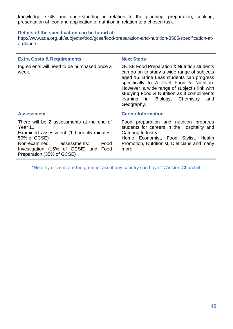knowledge, skills and understanding in relation to the planning, preparation, cooking, presentation of food and application of nutrition in relation to a chosen task.

## **Details of the specification can be found at:**

[http://www.aqa.org.uk/subjects/food/gcse/food-preparation-and-nutrition-8585/specification-at](http://www.aqa.org.uk/subjects/food/gcse/food-preparation-and-nutrition-8585/specification-at-a-glance)[a-glance](http://www.aqa.org.uk/subjects/food/gcse/food-preparation-and-nutrition-8585/specification-at-a-glance)

## **Extra Costs & Requirements Next Steps**

Ingredients will need to be purchased once a week.

GCSE Food Preparation & Nutrition students can go on to study a wide range of subjects aged 16. Brine Leas students can progress specifically to A level Food & Nutrition. However, a wide range of subject's link with studying Food & Nutrition as it compliments learning in Biology, Chemistry and Geography.

There will be 2 assessments at the end of Year 11: Examined assessment (1 hour 45 minutes, 50% of GCSE) Non-examined assessments: Food Investigation (15% of GCSE) and Food Preparation (35% of GCSE)

# **Assessment Career Information**

Food preparation and nutrition prepares students for careers in the Hospitality and Catering Industry,

Home Economist, Food Stylist, Health Promotion, Nutritionist, Dieticians and many more.

"Healthy citizens are the greatest asset any country can have." Winston Churchill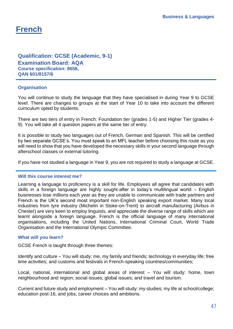# **French**

# **Qualification: GCSE (Academic, 9-1) Examination Board: AQA Course specification: 8658, QAN 601/8157/6**

# **Organisation**

You will continue to study the language that they have specialised in during Year 9 to GCSE level. There are changes to groups at the start of Year 10 to take into account the different curriculum opted by students.

There are two tiers of entry in French: Foundation tier (grades 1-5) and Higher Tier (grades 4- 9). You will take all 4 question papers at the same tier of entry.

It is possible to study two languages out of French, German and Spanish. This will be certified by two separate GCSE's. You must speak to an MFL teacher before choosing this route as you will need to show that you have developed the necessary skills in your second language through afterschool classes or external tutoring.

If you have not studied a language in Year 9, you are not required to study a language at GCSE.

# **Will this course interest me?**

Learning a language to proficiency is a skill for life. Employees all agree that candidates with skills in a foreign language are highly sought-after in today's multilingual world – English businesses lose millions each year as they are unable to communicate with trade partners and French is the UK's second most important non-English speaking export market. Many local industries from tyre industry (Michelin in Stoke-on-Trent) to aircraft manufacturing (Airbus in Chester) are very keen to employ linguists, and appreciate the diverse range of skills which are learnt alongside a foreign language. French is the official language of many international organisations, including the United Nations, International Criminal Court, World Trade Organisation and the International Olympic Committee.

# **What will you learn?**

GCSE French is taught through three themes:

Identify and culture – You will study: me, my family and friends; technology in everyday life; free time activities; and customs and festivals in French-speaking countries/communities;

Local, national, international and global areas of interest – You will study: home, town neighbourhood and region; social issues; global issues; and travel and tourism.

Current and future study and employment – You will study: my studies; my life at school/college; education post-16; and jobs, career choices and ambitions.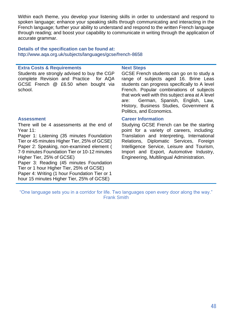Within each theme, you develop your listening skills in order to understand and respond to spoken language; enhance your speaking skills through communicating and interacting in the French language; further your ability to understand and respond to the written French language through reading; and boost your capability to communicate in writing through the application of accurate grammar.

# **Details of the specification can be found at:**  <http://www.aqa.org.uk/subjects/languages/gcse/french-8658>

## **Extra Costs & Requirements Next Steps**

Students are strongly advised to buy the CGP complete Revision and Practice for AQA GCSE French @ £6.50 when bought via school.

GCSE French students can go on to study a range of subjects aged 16. Brine Leas students can progress specifically to A level French. Popular combinations of subjects that work well with this subject area at A level are: German, Spanish, English, Law, History, Business Studies, Government & Politics, and Economics.

There will be 4 assessments at the end of Year 11:

Paper 1: Listening (35 minutes Foundation Tier or 45 minutes Higher Tier, 25% of GCSE) Paper 2: Speaking, non-examined element ( 7-9 minutes Foundation Tier or 10-12 minutes Higher Tier, 25% of GCSE)

Paper 3: Reading (45 minutes Foundation Tier or 1 hour Higher Tier, 25% of GCSE) Paper 4: Writing (1 hour Foundation Tier or 1 hour 15 minutes Higher Tier, 25% of GCSE)

### **Assessment Career Information**

Studying GCSE French can be the starting point for a variety of careers, including: Translation and Interpreting, International Relations, Diplomatic Services, Foreign Intelligence Service, Leisure and Tourism, Import and Export, Automotive Industry, Engineering, Multilingual Administration.

"One language sets you in a corridor for life. Two languages open every door along the way." Frank Smith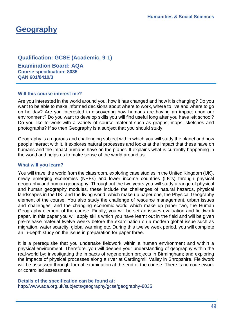# **Geography**

# **Qualification: GCSE (Academic, 9-1)**

**Examination Board: AQA Course specification: 8035 QAN 601/8410/3**

# **Will this course interest me?**

Are you interested in the world around you, how it has changed and how it is changing? Do you want to be able to make informed decisions about where to work, where to live and where to go on holiday? Are you interested in discovering how humans are having an impact upon our environment? Do you want to develop skills you will find useful long after you have left school? Do you like to work with a variety of source material such as graphs, maps, sketches and photographs? If so then Geography is a subject that you should study.

Geography is a rigorous and challenging subject within which you will study the planet and how people interact with it. It explores natural processes and looks at the impact that these have on humans and the impact humans have on the planet. It explains what is currently happening in the world and helps us to make sense of the world around us.

# **What will you learn?**

You will travel the world from the classroom, exploring case studies in the United Kingdom (UK), newly emerging economies (NEEs) and lower income countries (LICs) through physical geography and human geography. Throughout the two years you will study a range of physical and human geography modules, these include the challenges of natural hazards, physical landscapes in the UK, and the living world, which make up paper one, the Physical Geography element of the course. You also study the challenge of resource management, urban issues and challenges, and the changing economic world which make up paper two, the Human Geography element of the course. Finally, you will be set an issues evaluation and fieldwork paper. In this paper you will apply skills which you have learnt out in the field and will be given pre-release material twelve weeks before the examination on a modern global issue such as migration, water scarcity, global warming etc. During this twelve week period, you will complete an in-depth study on the issue in preparation for paper three.

It is a prerequisite that you undertake fieldwork within a human environment and within a physical environment. Therefore, you will deepen your understanding of geography within the real-world by: investigating the impacts of regeneration projects in Birmingham; and exploring the impacts of physical processes along a river at Cardingmill Valley in Shropshire. Fieldwork will be assessed through formal examination at the end of the course. There is no coursework or controlled assessment.

# **Details of the specification can be found at:**

<http://www.aqa.org.uk/subjects/geography/gcse/geography-8035>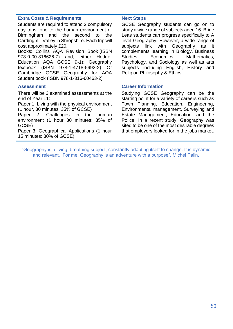# **Extra Costs & Requirements Next Steps**

Students are required to attend 2 compulsory day trips, one to the human environment of Birmingham and the second to the Cardingmill Valley in Shropshire. Each trip will cost approximately £20.

Books: Collins AQA Revision Book (ISBN 978-0-00-816626-7) and, either Hodder Education AQA GCSE 9-1); Geography textbook (ISBN 978-1-4718-5992-2) Or Cambridge GCSE Geography for AQA Student book (ISBN 978-1-316-60463-2)

There will be 3 examined assessments at the end of Year 11:

Paper 1: Living with the physical environment (1 hour, 30 minutes; 35% of GCSE)

Paper 2: Challenges in the human environment (1 hour 30 minutes; 35% of GCSE)

Paper 3: Geographical Applications (1 hour 15 minutes; 30% of GCSE)

GCSE Geography students can go on to study a wide range of subjects aged 16. Brine Leas students can progress specifically to A level Geography. However, a wide range of subjects link with Geography as it complements learning in Biology, Business Studies, Economics, Mathematics, Psychology, and Sociology as well as arts subjects including English, History and Religion Philosophy & Ethics.

## **Assessment Career Information**

Studying GCSE Geography can be the starting point for a variety of careers such as Town Planning, Education, Engineering, Environmental management, Surveying and Estate Management, Education, and the Police. In a recent study, Geography was sited to be one of the most desirable degrees that employers looked for in the jobs market.

"Geography is a living, breathing subject, constantly adapting itself to change. It is dynamic and relevant. For me, Geography is an adventure with a purpose". Michel Palin.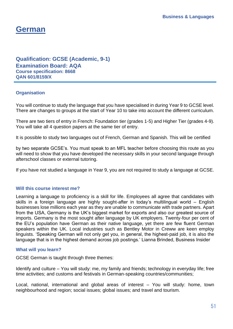# **German**

**Qualification: GCSE (Academic, 9-1) Examination Board: AQA Course specification: 8668 QAN 601/8159/X**

# **Organisation**

You will continue to study the language that you have specialised in during Year 9 to GCSE level. There are changes to groups at the start of Year 10 to take into account the different curriculum.

There are two tiers of entry in French: Foundation tier (grades 1-5) and Higher Tier (grades 4-9). You will take all 4 question papers at the same tier of entry.

It is possible to study two languages out of French, German and Spanish. This will be certified

by two separate GCSE's. You must speak to an MFL teacher before choosing this route as you will need to show that you have developed the necessary skills in your second language through afterschool classes or external tutoring.

If you have not studied a language in Year 9, you are not required to study a language at GCSE.

# **Will this course interest me?**

Learning a language to proficiency is a skill for life. Employees all agree that candidates with skills in a foreign language are highly sought-after in today's multilingual world – English businesses lose millions each year as they are unable to communicate with trade partners. Apart from the USA, Germany is the UK's biggest market for exports and also our greatest source of imports. Germany is the most sought after language by UK employers. Twenty-four per cent of the EU's population have German as their native language, yet there are few fluent German speakers within the UK. Local industries such as Bentley Motor in Creww are keen employ linguists. 'Speaking German will not only get you, in general, the highest-paid job, it is also the language that is in the highest demand across job postings.' Lianna Brinded, Business Insider

# **What will you learn?**

GCSE German is taught through three themes:

Identify and culture – You will study: me, my family and friends; technology in everyday life; free time activities; and customs and festivals in German-speaking countries/communities;

Local, national, international and global areas of interest – You will study: home, town neighbourhood and region; social issues; global issues; and travel and tourism.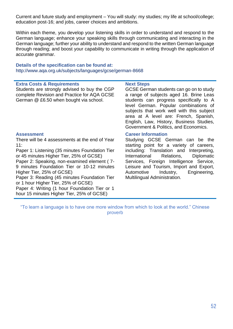Current and future study and employment – You will study: my studies; my life at school/college; education post-16; and jobs, career choices and ambitions.

Within each theme, you develop your listening skills in order to understand and respond to the German language; enhance your speaking skills through communicating and interacting in the German language; further your ability to understand and respond to the written German language through reading; and boost your capability to communicate in writing through the application of accurate grammar.

## **Details of the specification can be found at:**  <http://www.aqa.org.uk/subjects/languages/gcse/german-8668>

# **Extra Costs & Requirements Next Steps**

Students are strongly advised to buy the CGP complete Revision and Practice for AQA GCSE German @ £6.50 when bought via school.

GCSE German students can go on to study a range of subjects aged 16. Brine Leas students can progress specifically to A level German. Popular combinations of subjects that work well with this subject area at A level are: French, Spanish, English, Law, History, Business Studies, Government & Politics, and Economics.

There will be 4 assessments at the end of Year 11:

Paper 1: Listening (35 minutes Foundation Tier or 45 minutes Higher Tier, 25% of GCSE)

Paper 2: Speaking, non-examined element ( 7- 9 minutes Foundation Tier or 10-12 minutes Higher Tier, 25% of GCSE)

Paper 3: Reading (45 minutes Foundation Tier or 1 hour Higher Tier, 25% of GCSE)

Paper 4: Writing (1 hour Foundation Tier or 1 hour 15 minutes Higher Tier, 25% of GCSE)

### **Assessment Career Information**

Studying GCSE German can be the starting point for a variety of careers, including: Translation and Interpreting, International Relations, Diplomatic Services, Foreign Intelligence Service, Leisure and Tourism, Import and Export, Automotive Industry, Engineering, Multilingual Administration.

"To learn a language is to have one more window from which to look at the world." Chinese proverb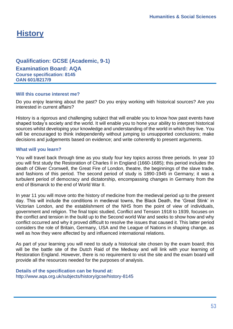# **History**

# **Qualification: GCSE (Academic, 9-1)**

**Examination Board: AQA Course specification: 8145 QAN 601/8217/9**

# **Will this course interest me?**

Do you enjoy learning about the past? Do you enjoy working with historical sources? Are you interested in current affairs?

History is a rigorous and challenging subject that will enable you to know how past events have shaped today's society and the world. It will enable you to hone your ability to interpret historical sources whilst developing your knowledge and understanding of the world in which they live. You will be encouraged to think independently without jumping to unsupported conclusions; make decisions and judgements based on evidence; and write coherently to present arguments.

# **What will you learn?**

You will travel back through time as you study four key topics across three periods. In year 10 you will first study the Restoration of Charles II in England (1660-1685); this period includes the death of Oliver Cromwell, the Great Fire of London, theatre, the beginnings of the slave trade, and fashions of this period. The second period of study is 1890-1945 in Germany; it was a turbulent period of democracy and dictatorship, encompassing changes in Germany from the end of Bismarck to the end of World War II.

In year 11 you will move onto the history of medicine from the medieval period up to the present day. This will include the conditions in medieval towns, the Black Death, the 'Great Stink' in Victorian London, and the establishment of the NHS from the point of view of individuals, government and religion. The final topic studied, Conflict and Tension 1918 to 1939, focuses on the conflict and tension in the build up to the Second world War and seeks to show how and why conflict occurred and why it proved difficult to resolve the issues that caused it. This latter period considers the role of Britain, Germany, USA and the League of Nations in shaping change, as well as how they were affected by and influenced international relations.

As part of your learning you will need to study a historical site chosen by the exam board; this will be the battle site of the Dutch Raid of the Medway and will link with your learning of Restoration England. However, there is no requirement to visit the site and the exam board will provide all the resources needed for the purposes of analysis.

# **Details of the specification can be found at:** <http://www.aqa.org.uk/subjects/history/gcse/history-8145>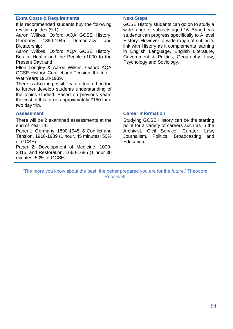# **Extra Costs & Requirements Next Steps**

It is recommended students buy the following revision guides (9-1)

Aaron Wilkes, Oxford AQA GCSE History: Germany 1890-1945 Democracy and Dictatorship;

Aaron Wilkes, Oxford AQA GCSE History: Britain: Health and the People c1000 to the Present Day; and

Ellen Longley & Aaron Wilkes, Oxford AQA GCSE History: Conflict and Tension: the Inter-War Years 1918-1939.

There is also the possibility of a trip to London to further develop students understanding of the topics studied. Based on previous years the cost of this trip is approximately £150 for a two day trip.

GCSE History students can go on to study a wide range of subjects aged 16. Brine Leas students can progress specifically to A level History. However, a wide range of subject's link with History as it complements learning in English Language, English Literature, Government & Politics, Geography, Law, Psychology and Sociology.

There will be 2 examined assessments at the end of Year 11:

Paper 1: Germany, 1890-1945, & Conflict and Tension, 1918-1939 (1 hour, 45 minutes; 50% of GCSE)

Paper 2: Development of Medicine, 1000- 2015, and Restoration, 1660-1685 (1 hour 30 minutes; 50% of GCSE)

## **Assessment Career Information**

Studying GCSE History can be the starting point for a variety of careers such as in the Archivist, Civil Service, Curator, Law, Journalism, Politics, Broadcasting and Education.

"The more you know about the past, the better prepared you are for the future.' Theodore Roosevelt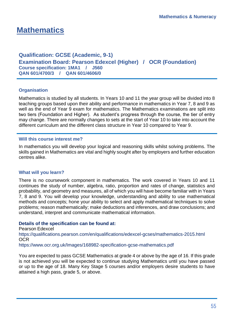# **Mathematics**

**Qualification: GCSE (Academic, 9-1) Examination Board: Pearson Edexcel (Higher) / OCR (Foundation) Course specification: 1MA1 / J560 QAN 601/4700/3 / QAN 601/4606/0**

# **Organisation**

Mathematics is studied by all students. In Years 10 and 11 the year group will be divided into 8 teaching groups based upon their ability and performance in mathematics in Year 7, 8 and 9 as well as the end of Year 9 exam for mathematics. The Mathematics examinations are split into two tiers (Foundation and Higher). As student's progress through the course, the tier of entry may change. There are normally changes to sets at the start of Year 10 to take into account the different curriculum and the different class structure in Year 10 compared to Year 9.

# **Will this course interest me?**

In mathematics you will develop your logical and reasoning skills whilst solving problems. The skills gained in Mathematics are vital and highly sought after by employers and further education centres alike.

# **What will you learn?**

There is no coursework component in mathematics. The work covered in Years 10 and 11 continues the study of number, algebra, ratio, proportion and rates of change, statistics and probability, and geometry and measures, all of which you will have become familiar with in Years 7, 8 and 9. You will develop your knowledge, understanding and ability to use mathematical methods and concepts; hone your ability to select and apply mathematical techniques to solve problems; reason mathematically; make deductions and inferences, and draw conclusions; and understand, interpret and communicate mathematical information.

# **Details of the specification can be found at:**

Pearson Edexcel <https://qualifications.pearson.com/en/qualifications/edexcel-gcses/mathematics-2015.html> **OCR** 

https://www.ocr.org.uk/Images/168982-specification-gcse-mathematics.pdf

You are expected to pass GCSE Mathematics at grade 4 or above by the age of 16. If this grade is not achieved you will be expected to continue studying Mathematics until you have passed or up to the age of 18. Many Key Stage 5 courses and/or employers desire students to have attained a high pass, grade 5, or above.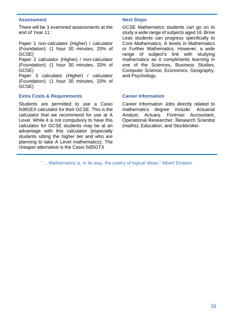## **Assessment Next Steps**

There will be 3 examined assessments at the end of Year 11:

Paper 1 non-calculator (Higher) / calculator (Foundation): (1 hour 30 minutes, 33% of GCSE)

Paper 2 calculator (Higher) / non-calculator (Foundation): (1 hour 30 minutes, 33% of GCSE)

Paper 3 calculator (Higher) / calculator (Foundation): (1 hour 30 minutes, 33% of GCSE)

# **Extra Costs & Requirements Career Information**

Students are permitted to use a Casio fx991EX calculator for their GCSE. This is the calculator that we recommend for use at A Level. While it is not compulsory to have this calculator for GCSE students may be at an advantage with this calculator (especially students sitting the higher tier and who are planning to take A Level mathematics). The cheaper alternative is the Casio fx85GTX

GCSE Mathematics students can go on to study a wide range of subjects aged 16. Brine Leas students can progress specifically to Core Mathematics, A levels in Mathematics or Further Mathematics. However, a wide range of subject's link with studying mathematics as it compliments learning in one of the Sciences, Business Studies, Computer Science, Economics, Geography, and Psychology.

Career Information Jobs directly related to mathematics degree include: Actuarial Analyst, Actuary, Forensic Accountant, Operational Researcher, Research Scientist (maths), Education, and Stockbroker.

"… Mathematics is, in its way, the poetry of logical ideas." Albert Einstein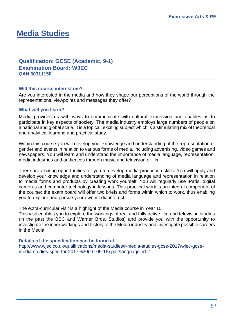# **Media Studies**

# **Qualification: GCSE (Academic, 9-1) Examination Board: WJEC QAN 60311150**

## **Will this course interest me?**

Are you interested in the media and how they shape our perceptions of the world through the representations, viewpoints and messages they offer?

### **What will you learn?**

Media provides us with ways to communicate with cultural expression and enables us to participate in key aspects of society. The media industry employs large numbers of people on a national and global scale. It is a topical, exciting subject which is a stimulating mix of theoretical and analytical learning and practical study.

Within this course you will develop your knowledge and understanding of the representation of gender and events in relation to various forms of media, including advertising, video games and newspapers. You will learn and understand the importance of media language, representation, media industries and audiences through music and television or film.

There are exciting opportunities for you to develop media production skills. You will apply and develop your knowledge and understanding of media language and representation in relation to media forms and products by creating work yourself. You will regularly use iPads, digital cameras and computer technology in lessons. This practical work is an integral component of the course; the exam board will offer two briefs and forms within which to work, thus enabling you to explore and pursue your own media interest.

The extra-curricular visit is a highlight of the Media course in Year 10.

This visit enables you to explore the workings of real and fully active film and television studios (in the past the BBC and Warner Bros. Studios) and provide you with the opportunity to investigate the inner workings and history of the Media industry and investigate possible careers in the Media.

### **Details of the specification can be found at:**

[http://www.wjec.co.uk/qualifications/media-studies/r-media-studies-gcse-2017/wjec-gcse](http://www.wjec.co.uk/qualifications/media-studies/r-media-studies-gcse-2017/wjec-gcse-media-studies-spec-for-2017%20(16-09-16).pdf?language_id=1)[media-studies-spec-for-2017%20\(16-09-16\).pdf?language\\_id=1](http://www.wjec.co.uk/qualifications/media-studies/r-media-studies-gcse-2017/wjec-gcse-media-studies-spec-for-2017%20(16-09-16).pdf?language_id=1)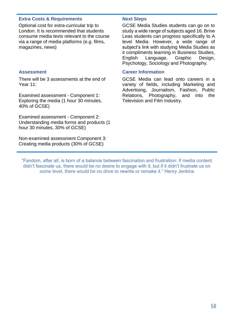# **Extra Costs & Requirements Mext Steps**

Optional cost for extra-curricular trip to London. It is recommended that students consume media texts relevant to the course via a range of media platforms (e.g. films, magazines, news)

There will be 3 assessments at the end of Year 11:

Examined assessment - Component 1: Exploring the media (1 hour 30 minutes, 40% of GCSE)

Examined assessment - Component 2: Understanding media forms and products (1 hour 30 minutes, 30% of GCSE)

Non-examined assessment Component 3: Creating media products (30% of GCSE)

GCSE Media Studies students can go on to study a wide range of subjects aged 16. Brine Leas students can progress specifically to A level Media. However, a wide range of subject's link with studying Media Studies as it compliments learning in Business Studies, English Language, Graphic Design, Psychology, Sociology and Photography.

# **Assessment Career Information**

GCSE Media can lead onto careers in a variety of fields, including Marketing and Advertising, Journalism, Fashion, Public Relations, Photography, and into the Television and Film Industry.

"Fandom, after all, is born of a balance between fascination and frustration: if media content didn't fascinate us, there would be no desire to engage with it; but if it didn't frustrate us on some level, there would be no drive to rewrite or remake it." Henry Jenkins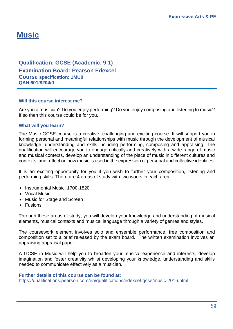# **Music**

**Qualification: GCSE (Academic, 9-1) Examination Board: Pearson Edexcel Course specification: 1MU0 QAN 601/8204/0**

## **Will this course interest me?**

Are you a musician? Do you enjoy performing? Do you enjoy composing and listening to music? If so then this course could be for you.

## **What will you learn?**

The Music GCSE course is a creative, challenging and exciting course. It will support you in forming personal and meaningful relationships with music through the development of musical knowledge, understanding and skills including performing, composing and appraising. The qualification will encourage you to engage critically and creatively with a wide range of music and musical contexts, develop an understanding of the place of music in different cultures and contexts, and reflect on how music is used in the expression of personal and collective identities.

It is an exciting opportunity for you if you wish to further your composition, listening and performing skills. There are 4 areas of study with two works in each area:

- Instrumental Music: 1700-1820
- Vocal Music
- Music for Stage and Screen
- Fusions

Through these areas of study, you will develop your knowledge and understanding of musical elements, musical contexts and musical language through a variety of genres and styles.

The coursework element involves solo and ensemble performance, free composition and composition set to a brief released by the exam board. The written examination involves an appraising appraisal paper.

A GCSE in Music will help you to broaden your musical experience and interests, develop imagination and foster creativity whilst developing your knowledge, understanding and skills needed to communicate effectively as a musician.

### **Further details of this course can be found at:**

https://qualifications.pearson.com/en/qualifications/edexcel-gcse/music-2016.html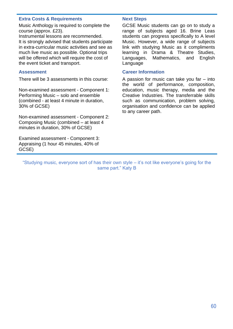# **Extra Costs & Requirements Mext Steps**

Music Anthology is required to complete the course (approx. £23).

Instrumental lessons are recommended. It is strongly advised that students participate in extra-curricular music activities and see as much live music as possible. Optional trips will be offered which will require the cost of the event ticket and transport.

There will be 3 assessments in this course:

Non-examined assessment - Component 1: Performing Music – solo and ensemble (combined - at least 4 minute in duration, 30% of GCSE)

Non-examined assessment - Component 2: Composing Music (combined – at least 4 minutes in duration, 30% of GCSE)

Examined assessment - Component 3: Appraising (1 hour 45 minutes, 40% of GCSE)

GCSE Music students can go on to study a range of subjects aged 16. Brine Leas students can progress specifically to A level Music. However, a wide range of subjects link with studying Music as it compliments learning in Drama & Theatre Studies, Languages, Mathematics, and English Language

# **Assessment Career Information**

A passion for music can take you far – into the world of performance, composition, education, music therapy, media and the Creative Industries. The transferrable skills such as communication, problem solving, organisation and confidence can be applied to any career path.

"Studying music, everyone sort of has their own style – it's not like everyone's going for the same part." Katy B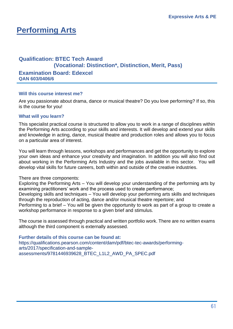# **Performing Arts**

# **Qualification: BTEC Tech Award (Vocational: Distinction\*, Distinction, Merit, Pass) Examination Board: Edexcel QAN 603/0406/6**

# **Will this course interest me?**

Are you passionate about drama, dance or musical theatre? Do you love performing? If so, this is the course for you!

# **What will you learn?**

This specialist practical course is structured to allow you to work in a range of disciplines within the Performing Arts according to your skills and interests. It will develop and extend your skills and knowledge in acting, dance, musical theatre and production roles and allows you to focus on a particular area of interest.

You will learn through lessons, workshops and performances and get the opportunity to explore your own ideas and enhance your creativity and imagination. In addition you will also find out about working in the Performing Arts Industry and the jobs available in this sector. You will develop vital skills for future careers, both within and outside of the creative industries.

# There are three components:

Exploring the Performing Arts – You will develop your understanding of the performing arts by examining practitioners' work and the process used to create performance;

Developing skills and techniques – You will develop your performing arts skills and techniques through the reproduction of acting, dance and/or musical theatre repertoire; and

Performing to a brief – You will be given the opportunity to work as part of a group to create a workshop performance in response to a given brief and stimulus.

The course is assessed through practical and written portfolio work. There are no written exams although the third component is externally assessed.

**Further details of this course can be found at:** [https://qualifications.pearson.com/content/dam/pdf/btec-tec-awards/performing](https://qualifications.pearson.com/content/dam/pdf/btec-tec-awards/performing-arts/2017/specification-and-sample-assessments/9781446939628_BTEC_L1L2_AWD_PA_SPEC.pdf)[arts/2017/specification-and-sample](https://qualifications.pearson.com/content/dam/pdf/btec-tec-awards/performing-arts/2017/specification-and-sample-assessments/9781446939628_BTEC_L1L2_AWD_PA_SPEC.pdf)[assessments/9781446939628\\_BTEC\\_L1L2\\_AWD\\_PA\\_SPEC.pdf](https://qualifications.pearson.com/content/dam/pdf/btec-tec-awards/performing-arts/2017/specification-and-sample-assessments/9781446939628_BTEC_L1L2_AWD_PA_SPEC.pdf)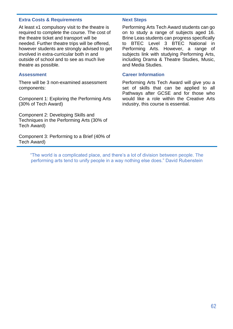# **Extra Costs & Requirements Next Steps**

At least x1 compulsory visit to the theatre is required to complete the course. The cost of the theatre ticket and transport will be needed. Further theatre trips will be offered, however students are strongly advised to get involved in extra-curricular both in and outside of school and to see as much live theatre as possible.

There will be 3 non-examined assessment components:

Component 1: Exploring the Performing Arts (30% of Tech Award)

Component 2: Developing Skills and Techniques in the Performing Arts (30% of Tech Award)

Component 3: Performing to a Brief (40% of Tech Award)

Performing Arts Tech Award students can go on to study a range of subjects aged 16. Brine Leas students can progress specifically to BTEC Level 3 BTEC National in Performing Arts. However, a range of subjects link with studying Performing Arts, including Drama & Theatre Studies, Music, and Media Studies.

## **Assessment Career Information**

Performing Arts Tech Award will give you a set of skills that can be applied to all Pathways after GCSE and for those who would like a role within the Creative Arts industry, this course is essential.

"The world is a complicated place, and there's a lot of division between people. The performing arts tend to unify people in a way nothing else does." David Rubenstein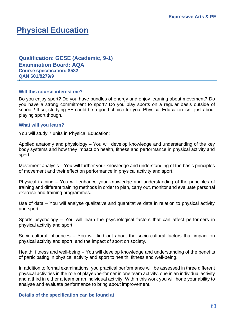# **Physical Education**

**Qualification: GCSE (Academic, 9-1) Examination Board: AQA Course specification: 8582 QAN 601/8279/9**

## **Will this course interest me?**

Do you enjoy sport? Do you have bundles of energy and enjoy learning about movement? Do you have a strong commitment to sport? Do you play sports on a regular basis outside of school? If so, studying PE could be a good choice for you. Physical Education isn't just about playing sport though.

## **What will you learn?**

**+**

You will study 7 units in Physical Education:

Applied anatomy and physiology – You will develop knowledge and understanding of the key body systems and how they impact on health, fitness and performance in physical activity and sport.

Movement analysis – You will further your knowledge and understanding of the basic principles of movement and their effect on performance in physical activity and sport.

Physical training – You will enhance your knowledge and understanding of the principles of training and different training methods in order to plan, carry out, monitor and evaluate personal exercise and training programmes.

Use of data – You will analyse qualitative and quantitative data in relation to physical activity and sport.

Sports psychology – You will learn the psychological factors that can affect performers in physical activity and sport.

Socio-cultural influences – You will find out about the socio-cultural factors that impact on physical activity and sport, and the impact of sport on society.

Health, fitness and well-being – You will develop knowledge and understanding of the benefits of participating in physical activity and sport to health, fitness and well-being.

In addition to formal examinations, you practical performance will be assessed in three different physical activities in the role of player/performer in one team activity, one in an individual activity and a third in either a team or an individual activity. Within this work you will hone your ability to analyse and evaluate performance to bring about improvement.

### **Details of the specification can be found at:**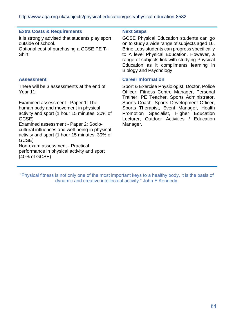# **Extra Costs & Requirements Next Steps**

It is strongly advised that students play sport outside of school.

Optional cost of purchasing a GCSE PE T-**Shirt** 

There will be 3 assessments at the end of Year 11:

Examined assessment - Paper 1: The human body and movement in physical activity and sport (1 hour 15 minutes, 30% of GCSE)

Examined assessment - Paper 2: Sociocultural influences and well-being in physical activity and sport (1 hour 15 minutes, 30% of GCSE)

Non-exam assessment - Practical performance in physical activity and sport (40% of GCSE)

GCSE Physical Education students can go on to study a wide range of subjects aged 16. Brine Leas students can progress specifically to A level Physical Education. However, a range of subjects link with studying Physical Education as it compliments learning in Biology and Psychology

# **Assessment Career Information**

Sport & Exercise Physiologist, Doctor, Police Officer, Fitness Centre Manager, Personal Trainer, PE Teacher, Sports Administrator, Sports Coach, Sports Development Officer, Sports Therapist, Event Manager, Health Promotion Specialist, Higher Education Lecturer, Outdoor Activities / Education Manager.

"Physical fitness is not only one of the most important keys to a healthy body, it is the basis of dynamic and creative intellectual activity." John F Kennedy.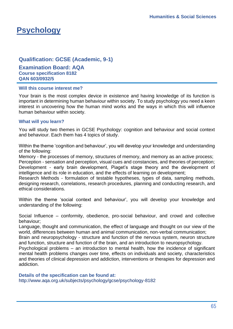# **Psychology**

# **Qualification: GCSE (Academic, 9-1)**

**Examination Board: AQA Course specification 8182 QAN 603/0932/5**

# **Will this course interest me?**

Your brain is the most complex device in existence and having knowledge of its function is important in determining human behaviour within society. To study psychology you need a keen interest in uncovering how the human mind works and the ways in which this will influence human behaviour within society.

# **What will you learn?**

You will study two themes in GCSE Psychology: cognition and behaviour and social context and behaviour. Each them has 4 topics of study.

Within the theme 'cognition and behaviour', you will develop your knowledge and understanding of the following:

Memory - the processes of memory, structures of memory, and memory as an active process;

Perception - sensation and perception, visual cues and constancies, and theories of perception; Development - early brain development, Piaget's stage theory and the development of intelligence and its role in education, and the effects of learning on development;

Research Methods - formulation of testable hypotheses, types of data, sampling methods, designing research, correlations, research procedures, planning and conducting research, and ethical considerations.

Within the theme 'social context and behaviour', you will develop your knowledge and understanding of the following:

Social Influence – conformity, obedience, pro-social behaviour, and crowd and collective behaviour;

Language, thought and communication, the effect of language and thought on our view of the world, differences between human and animal communication, non-verbal communication;

Brain and neuropsychology - structure and function of the nervous system, neuron structure and function, structure and function of the brain, and an introduction to neuropsychology.

Psychological problems – an introduction to mental health, how the incidence of significant mental health problems changes over time, effects on individuals and society, characteristics and theories of clinical depression and addiction, interventions or therapies for depression and addiction.

# **Details of the specification can be found at:**

<http://www.aqa.org.uk/subjects/psychology/gcse/psychology-8182>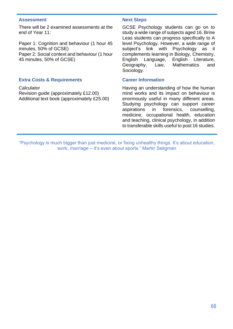## **Assessment Next Steps**

There will be 2 examined assessments at the end of Year 11:

Paper 1: Cognition and behaviour (1 hour 45 minutes, 50% of GCSE) Paper 2: Social context and behaviour (1 hour 45 minutes, 50% of GCSE)

# **Extra Costs & Requirements Career Information**

**Calculator** 

Revision guide (approximately £12.00) Additional text book (approximately £25.00)

GCSE Psychology students can go on to study a wide range of subjects aged 16. Brine Leas students can progress specifically to A level Psychology. However, a wide range of subject's link with Psychology as it complements learning in Biology, Chemistry, English Language, English Literature, Geography, Law, Mathematics and Sociology.

Having an understanding of how the human mind works and its impact on behaviour is enormously useful in many different areas. Studying psychology can support career aspirations in forensics, counselling, medicine, occupational health, education and teaching, clinical psychology, in addition to transferable skills useful to post 16 studies.

"Psychology is much bigger than just medicine, or fixing unhealthy things. It's about education, work, marriage – it's even about sports." Martin Seligman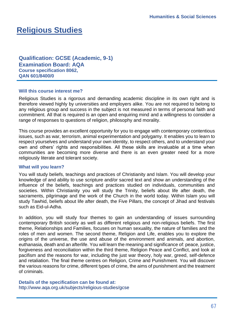# **Religious Studies**

**Qualification: GCSE (Academic, 9-1) Examination Board: AQA Course specification 8062, QAN 601/8400/0**

## **Will this course interest me?**

Religious Studies is a rigorous and demanding academic discipline in its own right and is therefore viewed highly by universities and employers alike. You are not required to belong to any religious group and success in the subject is not measured in terms of personal faith and commitment. All that is required is an open and enquiring mind and a willingness to consider a range of responses to questions of religion, philosophy and morality.

This course provides an excellent opportunity for you to engage with contemporary contentious issues, such as war, terrorism, animal experimentation and polygamy. It enables you to learn to respect yourselves and understand your own identity, to respect others, and to understand your own and others' rights and responsibilities. All these skills are invaluable at a time when communities are becoming more diverse and there is an even greater need for a more religiously literate and tolerant society.

### **What will you learn?**

You will study beliefs, teachings and practices of Christianity and Islam. You will develop your knowledge of and ability to use scripture and/or sacred text and show an understanding of the influence of the beliefs, teachings and practices studied on individuals, communities and societies. Within Christianity you will study the Trinity, beliefs about life after death, the sacraments, pilgrimage and the work of the Church in the world today. Within Islam you will study Tawhid, beliefs about life after death, the Five Pillars, the concept of Jihad and festivals such as Eid-ul-Adha.

In addition, you will study four themes to gain an understanding of issues surrounding contemporary British society as well as different religious and non-religious beliefs. The first theme, Relationships and Families, focuses on human sexuality, the nature of families and the roles of men and women. The second theme, Religion and Life, enables you to explore the origins of the universe, the use and abuse of the environment and animals, and abortion, euthanasia, death and an afterlife. You will learn the meaning and significance of: peace, justice, forgiveness and reconciliation within the third theme, Religion Peace and Conflict, and look at pacifism and the reasons for war, including the just war theory, holy war, greed, self-defence and retaliation. The final theme centres on Religion, Crime and Punishment. You will discover the various reasons for crime, different types of crime, the aims of punishment and the treatment of criminals.

**Details of the specification can be found at:**  <http://www.aqa.org.uk/subjects/religious-studies/gcse>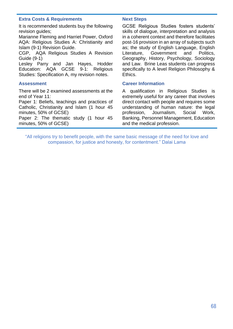# **Extra Costs & Requirements Mext Steps**

It is recommended students buy the following revision guides;

Marianne Fleming and Harriet Power, Oxford AQA: Religious Studies A: Christianity and Islam (9-1) Revision Guide.

CGP, AQA Religious Studies A Revision Guide (9-1)

Lesley Parry and Jan Hayes, Hodder Education: AQA GCSE 9-1: Religious Studies: Specification A, my revision notes.

There will be 2 examined assessments at the end of Year 11:

Paper 1: Beliefs, teachings and practices of Catholic, Christianity and Islam (1 hour 45 minutes, 50% of GCSE)

Paper 2: The thematic study (1 hour 45 minutes, 50% of GCSE)

GCSE Religious Studies fosters students' skills of dialogue, interpretation and analysis in a coherent context and therefore facilitates post-16 provision in an array of subjects such as; the study of English Language, English Literature, Government and Politics, Geography, History, Psychology, Sociology and Law. Brine Leas students can progress specifically to A level Religion Philosophy & Ethics.

# **Assessment Career Information**

A qualification in Religious Studies is extremely useful for any career that involves direct contact with people and requires some understanding of human nature: the legal profession, Journalism, Social Work, Banking, Personnel Management, Education and the medical profession.

"All religions try to benefit people, with the same basic message of the need for love and compassion, for justice and honesty, for contentment." Dalai Lama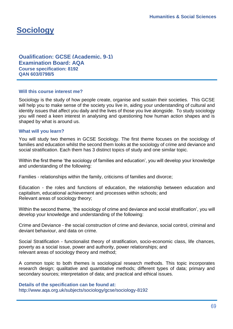# **Sociology**

**Qualification: GCSE (Academic, 9-1) Examination Board: AQA Course specification: 8192 QAN 603/0798/5**

## **Will this course interest me?**

Sociology is the study of how people create, organise and sustain their societies. This GCSE will help you to make sense of the society you live in, aiding your understanding of cultural and identity issues that affect you daily and the lives of those you live alongside. To study sociology you will need a keen interest in analysing and questioning how human action shapes and is shaped by what is around us.

## **What will you learn?**

You will study two themes in GCSE Sociology. The first theme focuses on the sociology of families and education whilst the second them looks at the sociology of crime and deviance and social stratification. Each them has 3 distinct topics of study and one similar topic.

Within the first theme 'the sociology of families and education', you will develop your knowledge and understanding of the following:

Families - relationships within the family, criticisms of families and divorce;

Education - the roles and functions of education, the relationship between education and capitalism, educational achievement and processes within schools; and Relevant areas of sociology theory;

Within the second theme, 'the sociology of crime and deviance and social stratification', you will develop your knowledge and understanding of the following:

Crime and Deviance - the social construction of crime and deviance, social control, criminal and deviant behaviour, and data on crime.

Social Stratification - functionalist theory of stratification, socio-economic class, life chances, poverty as a social issue, power and authority, power relationships; and relevant areas of sociology theory and method;

A common topic to both themes is sociological research methods. This topic incorporates research design; qualitative and quantitative methods; different types of data; primary and secondary sources; interpretation of data; and practical and ethical issues.

**Details of the specification can be found at:**  <http://www.aqa.org.uk/subjects/sociology/gcse/sociology-8192>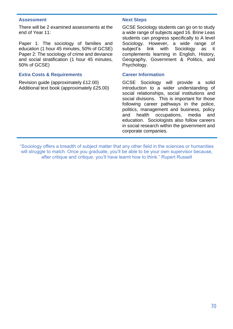## **Assessment Next Steps**

There will be 2 examined assessments at the end of Year 11:

Paper 1: The sociology of families and education (1 hour 45 minutes, 50% of GCSE) Paper 2: The sociology of crime and deviance and social stratification (1 hour 45 minutes, 50% of GCSE)

# **Extra Costs & Requirements Career Information**

Revision guide (approximately £12.00) Additional text book (approximately £25.00)

GCSE Sociology students can go on to study a wide range of subjects aged 16. Brine Leas students can progress specifically to A level Sociology. However, a wide range of subject's link with Sociology as it complements learning in English, History, Geography, Government & Politics, and Psychology.

GCSE Sociology will provide a solid introduction to a wider understanding of social relationships, social institutions and social divisions. This is important for those following career pathways in the police, politics, management and business, policy and health occupations, media and education. Sociologists also follow careers in social research within the government and corporate companies.

"Sociology offers a breadth of subject matter that any other field in the sciences or humanities will struggle to match. Once you graduate, you'll be able to be your own supervisor because, after critique and critique, you'll have learnt how to think." Rupert Russell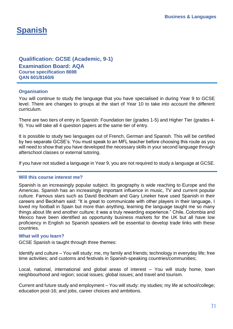# **Spanish**

# **Qualification: GCSE (Academic, 9-1) Examination Board: AQA Course specification 8698 QAN 601/8160/6**

# **Organisation**

You will continue to study the language that you have specialised in during Year 9 to GCSE level. There are changes to groups at the start of Year 10 to take into account the different curriculum.

There are two tiers of entry in Spanish: Foundation tier (grades 1-5) and Higher Tier (grades 4- 9). You will take all 4 question papers at the same tier of entry.

It is possible to study two languages out of French, German and Spanish. This will be certified by two separate GCSE's. You must speak to an MFL teacher before choosing this route as you will need to show that you have developed the necessary skills in your second language through afterschool classes or external tutoring.

If you have not studied a language in Year 9, you are not required to study a language at GCSE.

# **Will this course interest me?**

Spanish is an increasingly popular subject. Its geography is wide reaching to Europe and the Americas. Spanish has an increasingly important influence in music, TV and current popular culture. Famous stars such as David Beckham and Gary Lineker have used Spanish in their careers and Beckham said: "It is great to communicate with other players in their language, I loved my football in Spain but more than anything, learning the language taught me so many things about life and another culture; it was a truly rewarding experience." Chile, Colombia and Mexico have been identified as opportunity business markets for the UK but all have low proficiency in English so Spanish speakers will be essential to develop trade links with these countries.

# **What will you learn?**

GCSE Spanish is taught through three themes:

Identify and culture – You will study: me, my family and friends; technology in everyday life; free time activities; and customs and festivals in Spanish-speaking countries/communities;

Local, national, international and global areas of interest – You will study home, town neighbourhood and region; social issues; global issues; and travel and tourism.

Current and future study and employment – You will study: my studies; my life at school/college; education post-16; and jobs, career choices and ambitions.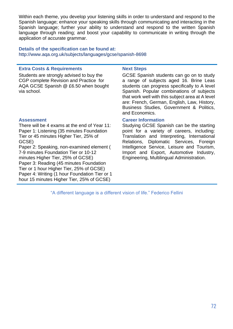Within each theme, you develop your listening skills in order to understand and respond to the Spanish language; enhance your speaking skills through communicating and interacting in the Spanish language; further your ability to understand and respond to the written Spanish language through reading; and boost your capability to communicate in writing through the application of accurate grammar.

# **Details of the specification can be found at:**  <http://www.aqa.org.uk/subjects/languages/gcse/spanish-8698>

# **Extra Costs & Requirements Next Steps**

Students are strongly advised to buy the CGP complete Revision and Practice for AQA GCSE Spanish @ £6.50 when bought via school.

There will be 4 exams at the end of Year 11: Paper 1: Listening (35 minutes Foundation Tier or 45 minutes Higher Tier, 25% of GCSE)

Paper 2: Speaking, non-examined element ( 7-9 minutes Foundation Tier or 10-12 minutes Higher Tier, 25% of GCSE) Paper 3: Reading (45 minutes Foundation Tier or 1 hour Higher Tier, 25% of GCSE) Paper 4: Writing (1 hour Foundation Tier or 1 hour 15 minutes Higher Tier, 25% of GCSE)

GCSE Spanish students can go on to study a range of subjects aged 16. Brine Leas students can progress specifically to A level Spanish. Popular combinations of subjects that work well with this subject area at A level are: French, German, English, Law, History, Business Studies, Government & Politics, and Economics.

# **Assessment Career Information**

Studying GCSE Spanish can be the starting point for a variety of careers, including: Translation and Interpreting, International Relations, Diplomatic Services, Foreign Intelligence Service, Leisure and Tourism, Import and Export, Automotive Industry, Engineering, Multilingual Administration.

"A different language is a different vision of life." Federico Fellini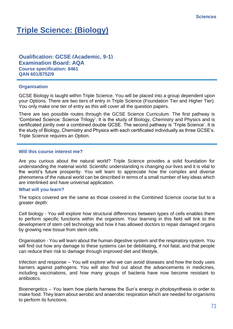## **Triple Science: (Biology)**

**Qualification: GCSE (Academic, 9-1) Examination Board: AQA Course specification: 8461 QAN 601/8752/9**

#### **Organisation**

GCSE Biology is taught within Triple Science. You will be placed into a group dependent upon your Options. There are two tiers of entry in Triple Science (Foundation Tier and Higher Tier). You only make one tier of entry as this will cover all the question papers.

There are two possible routes through the GCSE Science Curriculum. The first pathway is 'Combined Science: Science Trilogy'. It is the study of Biology, Chemistry and Physics and is certificated jointly over a combined double GCSE. The second pathway is 'Triple Science'. It is the study of Biology, Chemistry and Physics with each certificated individually as three GCSE's. Triple Science requires an Option.

#### **Will this course interest me?**

Are you curious about the natural world? Triple Science provides a solid foundation for understanding the material world. Scientific understanding is changing our lives and it is vital to the world's future prosperity. You will learn to appreciate how the complex and diverse phenomena of the natural world can be described in terms of a small number of key ideas which are interlinked and have universal application.

#### **What will you learn?**

The topics covered are the same as those covered in the Combined Science course but to a greater depth:

Cell biology - You will explore how structural differences between types of cells enables them to perform specific functions within the organism. Your learning in this field will link to the development of stem cell technology and how it has allowed doctors to repair damaged organs by growing new tissue from stem cells.

Organisation - You will learn about the human digestive system and the respiratory system. You will find out how any damage to these systems can be debilitating, if not fatal, and that people can reduce their risk to damage through improved diet and lifestyle.

Infection and response – You will explore who we can avoid diseases and how the body uses barriers against pathogens. You will also find out about the advancements in medicines, including vaccinations, and how many groups of bacteria have now become resistant to antibiotics.

Bioenergetics – You learn how plants harness the Sun's energy in photosynthesis in order to make food. They learn about aerobic and anaerobic respiration which are needed for organisms to perform its functions.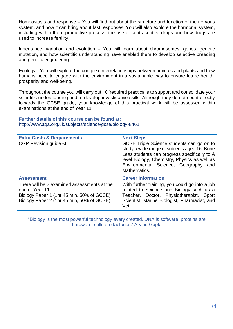Homeostasis and response – You will find out about the structure and function of the nervous system, and how it can bring about fast responses. You will also explore the hormonal system, including within the reproductive process, the use of contraceptive drugs and how drugs are used to increase fertility.

Inheritance, variation and evolution – You will learn about chromosomes, genes, genetic mutation, and how scientific understanding have enabled them to develop selective breeding and genetic engineering.

Ecology - You will explore the complex interrelationships between animals and plants and how humans need to engage with the environment in a sustainable way to ensure future health, prosperity and well-being.

Throughout the course you will carry out 10 'required practical's to support and consolidate your scientific understanding and to develop investigative skills. Although they do not count directly towards the GCSE grade, your knowledge of this practical work will be assessed within examinations at the end of Year 11.

**Further details of this course can be found at:**  <http://www.aqa.org.uk/subjects/science/gcse/biology-8461>

| <b>Extra Costs &amp; Requirements</b><br>CGP Revision guide £6                                                                                                                | <b>Next Steps</b><br>GCSE Triple Science students can go on to<br>study a wide range of subjects aged 16. Brine<br>Leas students can progress specifically to A<br>level Biology, Chemistry, Physics as well as<br>Environmental Science, Geography and<br>Mathematics. |
|-------------------------------------------------------------------------------------------------------------------------------------------------------------------------------|-------------------------------------------------------------------------------------------------------------------------------------------------------------------------------------------------------------------------------------------------------------------------|
| <b>Assessment</b><br>There will be 2 examined assessments at the<br>end of Year 11:<br>Biology Paper 1 (1hr 45 min, 50% of GCSE)<br>Biology Paper 2 (1hr 45 min, 50% of GCSE) | <b>Career Information</b><br>With further training, you could go into a job<br>related to Science and Biology such as a<br>Teacher, Doctor, Physiotherapist, Sport<br>Scientist, Marine Biologist, Pharmacist, and<br>Vet                                               |

"Biology is the most powerful technology every created. DNA is software, proteins are hardware, cells are factories.' Arvind Gupta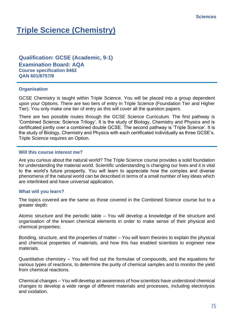# **Triple Science (Chemistry)**

**Qualification: GCSE (Academic, 9-1) Examination Board: AQA Course specification 8462 QAN 601/8757/8**

#### **Organisation**

GCSE Chemistry is taught within Triple Science. You will be placed into a group dependent upon your Options. There are two tiers of entry in Triple Science (Foundation Tier and Higher Tier). You only make one tier of entry as this will cover all the question papers.

There are two possible routes through the GCSE Science Curriculum. The first pathway is 'Combined Science: Science Trilogy'. It is the study of Biology, Chemistry and Physics and is certificated jointly over a combined double GCSE. The second pathway is 'Triple Science'. It is the study of Biology, Chemistry and Physics with each certificated individually as three GCSE's. Triple Science requires an Option.

#### **Will this course interest me?**

Are you curious about the natural world? The Triple Science course provides a solid foundation for understanding the material world. Scientific understanding is changing our lives and it is vital to the world's future prosperity. You will learn to appreciate how the complex and diverse phenomena of the natural world can be described in terms of a small number of key ideas which are interlinked and have universal application.

#### **What will you learn?**

The topics covered are the same as those covered in the Combined Science course but to a greater depth:

Atomic structure and the periodic table – You will develop a knowledge of the structure and organisation of the known chemical elements in order to make sense of their physical and chemical properties;

Bonding, structure, and the properties of matter – You will learn theories to explain the physical and chemical properties of materials, and how this has enabled scientists to engineer new materials.

Quantitative chemistry – You will find out the formulae of compounds, and the equations for various types of reactions, to determine the purity of chemical samples and to monitor the yield from chemical reactions.

Chemical changes – You will develop an awareness of how scientists have understood chemical changes to develop a wide range of different materials and processes, including electrolysis and oxidation.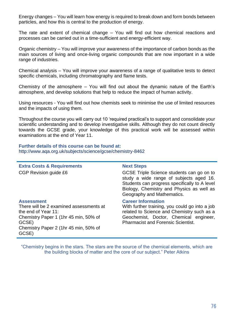Energy changes – You will learn how energy is required to break down and form bonds between particles, and how this is central to the production of energy.

The rate and extent of chemical change – You will find out how chemical reactions and processes can be carried out in a time-sufficient and energy-efficient way.

Organic chemistry – You will improve your awareness of the importance of carbon bonds as the main sources of living and once-living organic compounds that are now important in a wide range of industries.

Chemical analysis – You will improve your awareness of a range of qualitative tests to detect specific chemicals, including chromatography and flame tests.

Chemistry of the atmosphere – You will find out about the dynamic nature of the Earth's atmosphere, and develop solutions that help to reduce the impact of human activity.

Using resources - You will find out how chemists seek to minimise the use of limited resources and the impacts of using them.

Throughout the course you will carry out 10 'required practical's to support and consolidate your scientific understanding and to develop investigative skills. Although they do not count directly towards the GCSE grade, your knowledge of this practical work will be assessed within examinations at the end of Year 11.

**Further details of this course can be found at:**  <http://www.aqa.org.uk/subjects/science/gcse/chemistry-8462>

**Extra Costs & Requirements Next Steps** CGP Revision guide £6 GCSE Triple Science students can go on to study a wide range of subjects aged 16. Students can progress specifically to A level Biology, Chemistry and Physics as well as Geography and Mathematics. **Assessment Career Information** There will be 2 examined assessments at the end of Year 11: Chemistry Paper 1 (1hr 45 min, 50% of GCSE) Chemistry Paper 2 (1hr 45 min, 50% of GCSE) With further training, you could go into a job related to Science and Chemistry such as a Geochemist, Doctor, Chemical engineer, Pharmacist and Forensic Scientist.

"Chemistry begins in the stars. The stars are the source of the chemical elements, which are the building blocks of matter and the core of our subject." Peter Atkins

### 76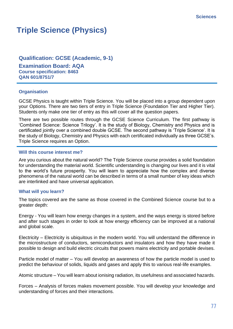### **Triple Science (Physics)**

**Qualification: GCSE (Academic, 9-1) Examination Board: AQA Course specification: 8463 QAN 601/8751/7**

#### **Organisation**

GCSE Physics is taught within Triple Science. You will be placed into a group dependent upon your Options. There are two tiers of entry in Triple Science (Foundation Tier and Higher Tier). Students only make one tier of entry as this will cover all the question papers.

There are two possible routes through the GCSE Science Curriculum. The first pathway is 'Combined Science: Science Trilogy'. It is the study of Biology, Chemistry and Physics and is certificated jointly over a combined double GCSE. The second pathway is 'Triple Science'. It is the study of Biology, Chemistry and Physics with each certificated individually as three GCSE's. Triple Science requires an Option.

#### **Will this course interest me?**

Are you curious about the natural world? The Triple Science course provides a solid foundation for understanding the material world. Scientific understanding is changing our lives and it is vital to the world's future prosperity. You will learn to appreciate how the complex and diverse phenomena of the natural world can be described in terms of a small number of key ideas which are interlinked and have universal application.

#### **What will you learn?**

The topics covered are the same as those covered in the Combined Science course but to a greater depth:

Energy - You will learn how energy changes in a system, and the ways energy is stored before and after such stages in order to look at how energy efficiency can be improved at a national and global scale.

Electricity – Electricity is ubiquitous in the modern world. You will understand the difference in the microstructure of conductors, semiconductors and insulators and how they have made it possible to design and build electric circuits that powers mains electricity and portable devises.

Particle model of matter – You will develop an awareness of how the particle model is used to predict the behaviour of solids, liquids and gases and apply this to various real-life examples.

Atomic structure – You will learn about ionising radiation, its usefulness and associated hazards.

Forces – Analysis of forces makes movement possible. You will develop your knowledge and understanding of forces and their interactions.